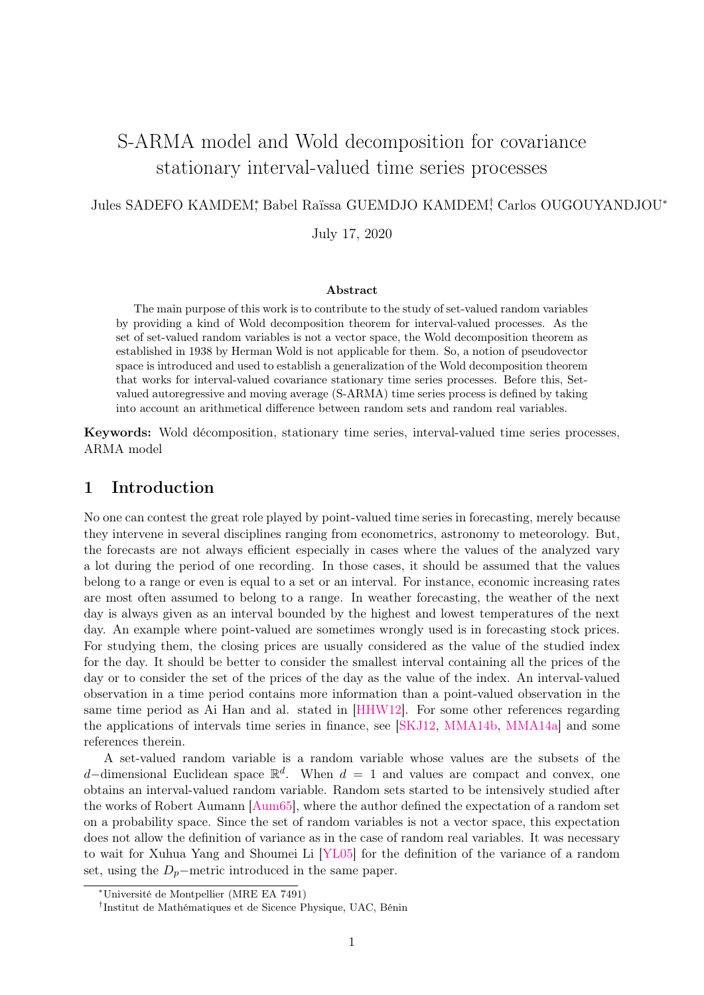# S-ARMA model and Wold decomposition for covariance stationary interval-valued time series processes

# Jules SADEFO KAMDEM<sup>\*</sup>, Babel Raïssa GUEMDJO KAMDEM<sup>†</sup>, Carlos OUGOUYANDJOU<sup>\*</sup>

July 17, 2020

## Abstract

The main purpose of this work is to contribute to the study of set-valued random variables by providing a kind of Wold decomposition theorem for interval-valued processes. As the set of set-valued random variables is not a vector space, the Wold decomposition theorem as established in 1938 by Herman Wold is not applicable for them. So, a notion of pseudovector space is introduced and used to establish a generalization of the Wold decomposition theorem that works for interval-valued covariance stationary time series processes. Before this, Setvalued autoregressive and moving average (S-ARMA) time series process is defined by taking into account an arithmetical difference between random sets and random real variables.

Keywords: Wold décomposition, stationary time series, interval-valued time series processes, ARMA model

# 1 Introduction

No one can contest the great role played by point-valued time series in forecasting, merely because they intervene in several disciplines ranging from econometrics, astronomy to meteorology. But, the forecasts are not always efficient especially in cases where the values of the analyzed vary a lot during the period of one recording. In those cases, it should be assumed that the values belong to a range or even is equal to a set or an interval. For instance, economic increasing rates are most often assumed to belong to a range. In weather forecasting, the weather of the next day is always given as an interval bounded by the highest and lowest temperatures of the next day. An example where point-valued are sometimes wrongly used is in forecasting stock prices. For studying them, the closing prices are usually considered as the value of the studied index for the day. It should be better to consider the smallest interval containing all the prices of the day or to consider the set of the prices of the day as the value of the index. An interval-valued observation in a time period contains more information than a point-valued observation in the same time period as Ai Han and al. stated in [\[HHW12\]](#page-18-0). For some other references regarding the applications of intervals time series in finance, see [\[SKJ12,](#page-18-1) [MMA14b,](#page-18-2) [MMA14a\]](#page-18-3) and some references therein.

A set-valued random variable is a random variable whose values are the subsets of the d–dimensional Euclidean space  $\mathbb{R}^d$ . When  $d = 1$  and values are compact and convex, one obtains an interval-valued random variable. Random sets started to be intensively studied after the works of Robert Aumann [\[Aum65\]](#page-18-4), where the author defined the expectation of a random set on a probability space. Since the set of random variables is not a vector space, this expectation does not allow the definition of variance as in the case of random real variables. It was necessary to wait for Xuhua Yang and Shoumei Li [\[YL05\]](#page-18-5) for the definition of the variance of a random set, using the  $D_p$ −metric introduced in the same paper.

<sup>∗</sup>Université de Montpellier (MRE EA 7491)

<sup>†</sup> Institut de Mathématiques et de Sicence Physique, UAC, Bénin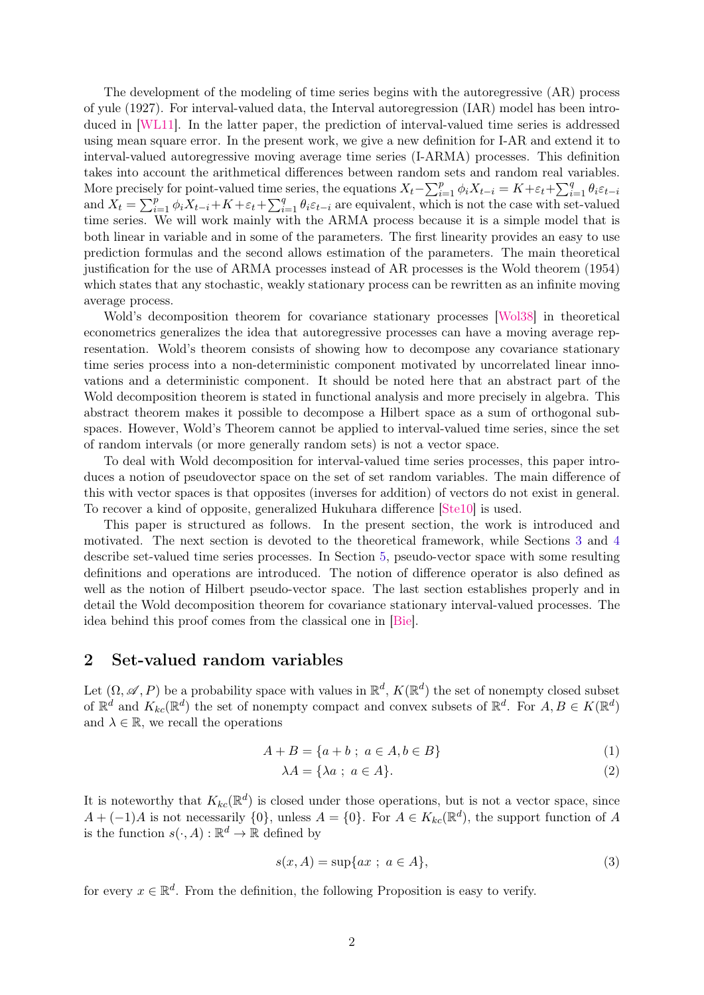The development of the modeling of time series begins with the autoregressive (AR) process of yule (1927). For interval-valued data, the Interval autoregression (IAR) model has been introduced in [\[WL11\]](#page-18-6). In the latter paper, the prediction of interval-valued time series is addressed using mean square error. In the present work, we give a new definition for I-AR and extend it to interval-valued autoregressive moving average time series (I-ARMA) processes. This definition takes into account the arithmetical differences between random sets and random real variables. More precisely for point-valued time series, the equations  $X_t - \sum_{i=1}^p \phi_i X_{t-i} = K + \varepsilon_t + \sum_{i=1}^q \theta_i \varepsilon_{t-i}$ and  $X_t = \sum_{i=1}^p \phi_i X_{t-i} + K + \varepsilon_t + \sum_{i=1}^q \theta_i \varepsilon_{t-i}$  are equivalent, which is not the case with set-valued time series. We will work mainly with the ARMA process because it is a simple model that is both linear in variable and in some of the parameters. The first linearity provides an easy to use prediction formulas and the second allows estimation of the parameters. The main theoretical justification for the use of ARMA processes instead of AR processes is the Wold theorem (1954) which states that any stochastic, weakly stationary process can be rewritten as an infinite moving average process.

Wold's decomposition theorem for covariance stationary processes [\[Wol38\]](#page-18-7) in theoretical econometrics generalizes the idea that autoregressive processes can have a moving average representation. Wold's theorem consists of showing how to decompose any covariance stationary time series process into a non-deterministic component motivated by uncorrelated linear innovations and a deterministic component. It should be noted here that an abstract part of the Wold decomposition theorem is stated in functional analysis and more precisely in algebra. This abstract theorem makes it possible to decompose a Hilbert space as a sum of orthogonal subspaces. However, Wold's Theorem cannot be applied to interval-valued time series, since the set of random intervals (or more generally random sets) is not a vector space.

To deal with Wold decomposition for interval-valued time series processes, this paper introduces a notion of pseudovector space on the set of set random variables. The main difference of this with vector spaces is that opposites (inverses for addition) of vectors do not exist in general. To recover a kind of opposite, generalized Hukuhara difference [\[Ste10\]](#page-18-8) is used.

This paper is structured as follows. In the present section, the work is introduced and motivated. The next section is devoted to the theoretical framework, while Sections [3](#page-3-0) and [4](#page-4-0) describe set-valued time series processes. In Section [5,](#page-5-0) pseudo-vector space with some resulting definitions and operations are introduced. The notion of difference operator is also defined as well as the notion of Hilbert pseudo-vector space. The last section establishes properly and in detail the Wold decomposition theorem for covariance stationary interval-valued processes. The idea behind this proof comes from the classical one in [\[Bie\]](#page-18-9).

# 2 Set-valued random variables

Let  $(\Omega, \mathscr{A}, P)$  be a probability space with values in  $\mathbb{R}^d$ ,  $K(\mathbb{R}^d)$  the set of nonempty closed subset of  $\mathbb{R}^d$  and  $K_{kc}(\mathbb{R}^d)$  the set of nonempty compact and convex subsets of  $\mathbb{R}^d$ . For  $A, B \in K(\mathbb{R}^d)$ and  $\lambda \in \mathbb{R}$ , we recall the operations

$$
A + B = \{a + b \; ; \; a \in A, b \in B\}
$$
 (1)

<span id="page-1-1"></span><span id="page-1-0"></span>
$$
\lambda A = \{\lambda a \; ; \; a \in A\}.\tag{2}
$$

It is noteworthy that  $K_{kc}(\mathbb{R}^d)$  is closed under those operations, but is not a vector space, since  $A + (-1)A$  is not necessarily  $\{0\}$ , unless  $A = \{0\}$ . For  $A \in K_{kc}(\mathbb{R}^d)$ , the support function of A is the function  $s(\cdot, A) : \mathbb{R}^d \to \mathbb{R}$  defined by

$$
s(x, A) = \sup\{ax \; ; \; a \in A\},\tag{3}
$$

for every  $x \in \mathbb{R}^d$ . From the definition, the following Proposition is easy to verify.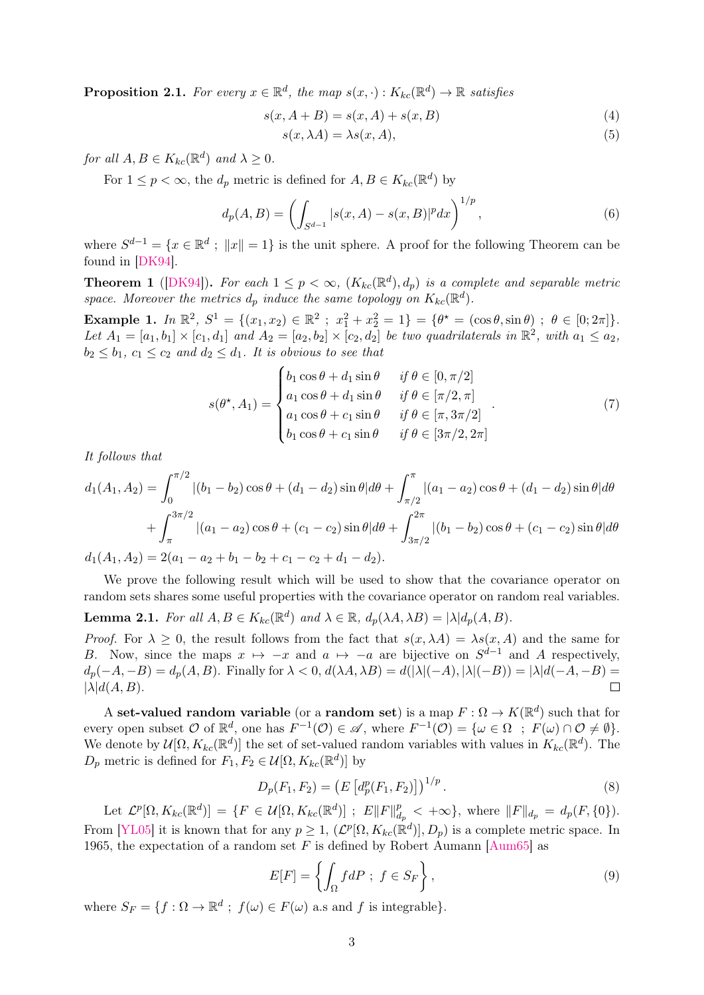**Proposition 2.1.** For every  $x \in \mathbb{R}^d$ , the map  $s(x, \cdot) : K_{kc}(\mathbb{R}^d) \to \mathbb{R}$  satisfies

$$
s(x, A + B) = s(x, A) + s(x, B)
$$
\n(4)

$$
s(x, \lambda A) = \lambda s(x, A),\tag{5}
$$

for all  $A, B \in K_{kc}(\mathbb{R}^d)$  and  $\lambda \geq 0$ .

For  $1 \leq p < \infty$ , the  $d_p$  metric is defined for  $A, B \in K_{kc}(\mathbb{R}^d)$  by

$$
d_p(A, B) = \left( \int_{S^{d-1}} |s(x, A) - s(x, B)|^p dx \right)^{1/p}, \tag{6}
$$

where  $S^{d-1} = \{x \in \mathbb{R}^d : ||x|| = 1\}$  is the unit sphere. A proof for the following Theorem can be found in [\[DK94\]](#page-18-10).

**Theorem 1** ([\[DK94\]](#page-18-10)). For each  $1 \leq p < \infty$ ,  $(K_{kc}(\mathbb{R}^d), d_p)$  is a complete and separable metric space. Moreover the metrics  $d_p$  induce the same topology on  $K_{kc}(\mathbb{R}^d)$ .

Example 1.  $In \mathbb{R}^2$ ,  $S^1 = \{(x_1, x_2) \in \mathbb{R}^2 \; ; \; x_1^2 + x_2^2 = 1\} = \{\theta^* = (\cos \theta, \sin \theta) \; ; \; \theta \in [0; 2\pi]\}.$ Let  $A_1 = [a_1, b_1] \times [c_1, d_1]$  and  $A_2 = [a_2, b_2] \times [c_2, d_2]$  be two quadrilaterals in  $\mathbb{R}^2$ , with  $a_1 \le a_2$ ,  $b_2 \leq b_1, c_1 \leq c_2$  and  $d_2 \leq d_1$ . It is obvious to see that

$$
s(\theta^*, A_1) = \begin{cases} b_1 \cos \theta + d_1 \sin \theta & \text{if } \theta \in [0, \pi/2] \\ a_1 \cos \theta + d_1 \sin \theta & \text{if } \theta \in [\pi/2, \pi] \\ a_1 \cos \theta + c_1 \sin \theta & \text{if } \theta \in [\pi, 3\pi/2] \\ b_1 \cos \theta + c_1 \sin \theta & \text{if } \theta \in [3\pi/2, 2\pi] \end{cases} (7)
$$

It follows that

$$
d_1(A_1, A_2) = \int_0^{\pi/2} |(b_1 - b_2) \cos \theta + (d_1 - d_2) \sin \theta| d\theta + \int_{\pi/2}^{\pi} |(a_1 - a_2) \cos \theta + (d_1 - d_2) \sin \theta| d\theta
$$
  
+ 
$$
\int_{\pi}^{3\pi/2} |(a_1 - a_2) \cos \theta + (c_1 - c_2) \sin \theta| d\theta + \int_{3\pi/2}^{2\pi} |(b_1 - b_2) \cos \theta + (c_1 - c_2) \sin \theta| d\theta
$$
  

$$
d_1(A_1, A_2) = 2(a_1 - a_2 + b_1 - b_2 + c_1 - c_2 + d_1 - d_2).
$$

We prove the following result which will be used to show that the covariance operator on random sets shares some useful properties with the covariance operator on random real variables.

<span id="page-2-0"></span>**Lemma 2.1.** For all  $A, B \in K_{kc}(\mathbb{R}^d)$  and  $\lambda \in \mathbb{R}$ ,  $d_p(\lambda A, \lambda B) = |\lambda| d_p(A, B)$ .

*Proof.* For  $\lambda \geq 0$ , the result follows from the fact that  $s(x, \lambda A) = \lambda s(x, A)$  and the same for B. Now, since the maps  $x \mapsto -x$  and  $a \mapsto -a$  are bijective on  $S^{d-1}$  and A respectively,  $d_p(-A, -B) = d_p(A, B)$ . Finally for  $\lambda < 0$ ,  $d(\lambda A, \lambda B) = d(|\lambda|(-A), |\lambda|(-B)) = |\lambda|d(-A, -B) =$  $|\lambda| d(A, B).$  $\Box$ 

A set-valued random variable (or a random set) is a map  $F: \Omega \to K(\mathbb{R}^d)$  such that for every open subset  $\mathcal O$  of  $\mathbb R^d$ , one has  $F^{-1}(\mathcal O)\in\mathscr A$ , where  $F^{-1}(\mathcal O)=\{\omega\in\Omega\;:\;F(\omega)\cap\mathcal O\neq\emptyset\}.$ We denote by  $\mathcal{U}[\Omega, K_{kc}(\mathbb{R}^d)]$  the set of set-valued random variables with values in  $K_{kc}(\mathbb{R}^d)$ . The  $D_p$  metric is defined for  $F_1, F_2 \in \mathcal{U}[\Omega, K_{kc}(\mathbb{R}^d)]$  by

$$
D_p(F_1, F_2) = \left( E \left[ d_p^p(F_1, F_2) \right] \right)^{1/p} . \tag{8}
$$

Let  $\mathcal{L}^p[\Omega, K_{kc}(\mathbb{R}^d)] = \{F \in \mathcal{U}[\Omega, K_{kc}(\mathbb{R}^d)] ; E\|F\|_d^p$  $\frac{p}{d_p} < +\infty$ , where  $||F||_{d_p} = d_p(F, \{0\}).$ From [\[YL05\]](#page-18-5) it is known that for any  $p \geq 1$ ,  $(\mathcal{L}^p[\Omega, K_{kc}(\mathbb{R}^d)], D_p)$  is a complete metric space. In 1965, the expectation of a random set F is defined by Robert Aumann [\[Aum65\]](#page-18-4) as

$$
E[F] = \left\{ \int_{\Omega} f dP \; ; \; f \in S_F \right\},\tag{9}
$$

where  $S_F = \{f : \Omega \to \mathbb{R}^d \; ; \; f(\omega) \in F(\omega) \text{ a.s and } f \text{ is integrable}\}.$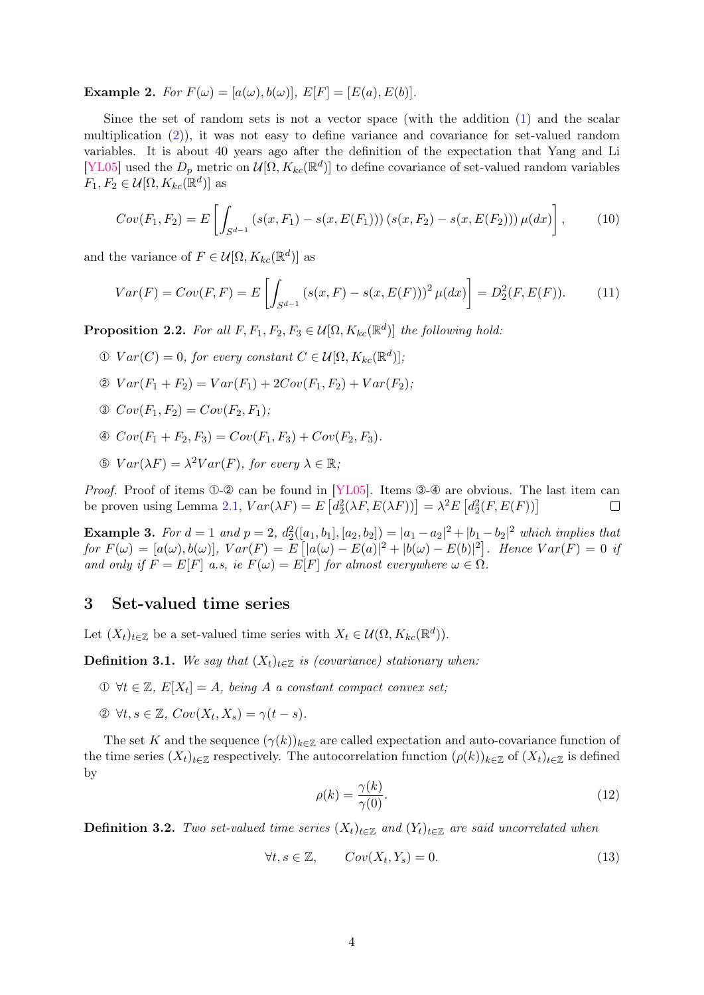**Example 2.** For  $F(\omega) = [a(\omega), b(\omega)], E[F] = [E(a), E(b)].$ 

Since the set of random sets is not a vector space (with the addition [\(1\)](#page-1-0) and the scalar multiplication [\(2\)](#page-1-1)), it was not easy to define variance and covariance for set-valued random variables. It is about 40 years ago after the definition of the expectation that Yang and Li [\[YL05\]](#page-18-5) used the  $D_p$  metric on  $\mathcal{U}[\Omega, K_{kc}(\mathbb{R}^d)]$  to define covariance of set-valued random variables  $F_1, F_2 \in \mathcal{U}[\Omega, K_{kc}(\mathbb{R}^d)]$  as

<span id="page-3-3"></span>
$$
Cov(F_1, F_2) = E\left[\int_{S^{d-1}} \left(s(x, F_1) - s(x, E(F_1))\right)\left(s(x, F_2) - s(x, E(F_2))\right)\mu(dx)\right],\tag{10}
$$

and the variance of  $F \in \mathcal{U}[\Omega, K_{kc}(\mathbb{R}^d)]$  as

$$
Var(F) = Cov(F, F) = E\left[\int_{S^{d-1}} \left(s(x, F) - s(x, E(F))\right)^2 \mu(dx)\right] = D_2^2(F, E(F)).\tag{11}
$$

<span id="page-3-1"></span>**Proposition 2.2.** For all  $F, F_1, F_2, F_3 \in \mathcal{U}[\Omega, K_{kc}(\mathbb{R}^d)]$  the following hold:

- $\mathcal{D} \; Var(C) = 0$ , for every constant  $C \in \mathcal{U}[\Omega, K_{kc}(\mathbb{R}^d)]$ ;
- $\mathcal{Q} \; Var(F_1 + F_2) = Var(F_1) + 2Cov(F_1, F_2) + Var(F_2);$
- $\mathcal{O}$   $Cov(F_1, F_2) = Cov(F_2, F_1);$
- $\textcircled{4} Cov(F_1 + F_2, F_3) = Cov(F_1, F_3) + Cov(F_2, F_3).$
- $\mathcal{D} \; Var(\lambda F) = \lambda^2 Var(F)$ , for every  $\lambda \in \mathbb{R}$ ;

*Proof.* Proof of items  $\Phi$ - $\mathcal{Q}$  can be found in [\[YL05\]](#page-18-5). Items  $\Phi$ - $\Phi$  are obvious. The last item can be proven using Lemma [2.1,](#page-2-0)  $Var(\lambda F) = E[d_2^2(\lambda F, E(\lambda F))] = \lambda^2 E[d_2^2(F, E(F))]$  $\Box$ 

<span id="page-3-2"></span>**Example 3.** For  $d = 1$  and  $p = 2$ ,  $d_2^2([a_1, b_1], [a_2, b_2]) = |a_1 - a_2|^2 + |b_1 - b_2|^2$  which implies that for  $F(\omega) = [a(\omega), b(\omega)], \text{ } \text{Var}(F) = E\left[ |a(\omega) - E(a)|^2 + |b(\omega) - E(b)|^2 \right].$  Hence  $\text{Var}(F) = 0$  if and only if  $F = E[F]$  a.s, ie  $F(\omega) = E[F]$  for almost everywhere  $\omega \in \Omega$ .

# <span id="page-3-0"></span>3 Set-valued time series

Let  $(X_t)_{t \in \mathbb{Z}}$  be a set-valued time series with  $X_t \in \mathcal{U}(\Omega, K_{kc}(\mathbb{R}^d)).$ 

**Definition 3.1.** We say that  $(X_t)_{t \in \mathbb{Z}}$  is (covariance) stationary when:

- $\mathcal{D} \ \forall t \in \mathbb{Z}, E[X_t] = A$ , being A a constant compact convex set;
- $\mathfrak{D} \ \forall t, s \in \mathbb{Z}, \ Cov(X_t, X_s) = \gamma(t s).$

The set K and the sequence  $(\gamma(k))_{k\in\mathbb{Z}}$  are called expectation and auto-covariance function of the time series  $(X_t)_{t\in\mathbb{Z}}$  respectively. The autocorrelation function  $(\rho(k))_{k\in\mathbb{Z}}$  of  $(X_t)_{t\in\mathbb{Z}}$  is defined by

$$
\rho(k) = \frac{\gamma(k)}{\gamma(0)}.\tag{12}
$$

**Definition 3.2.** Two set-valued time series  $(X_t)_{t \in \mathbb{Z}}$  and  $(Y_t)_{t \in \mathbb{Z}}$  are said uncorrelated when

$$
\forall t, s \in \mathbb{Z}, \qquad Cov(X_t, Y_s) = 0. \tag{13}
$$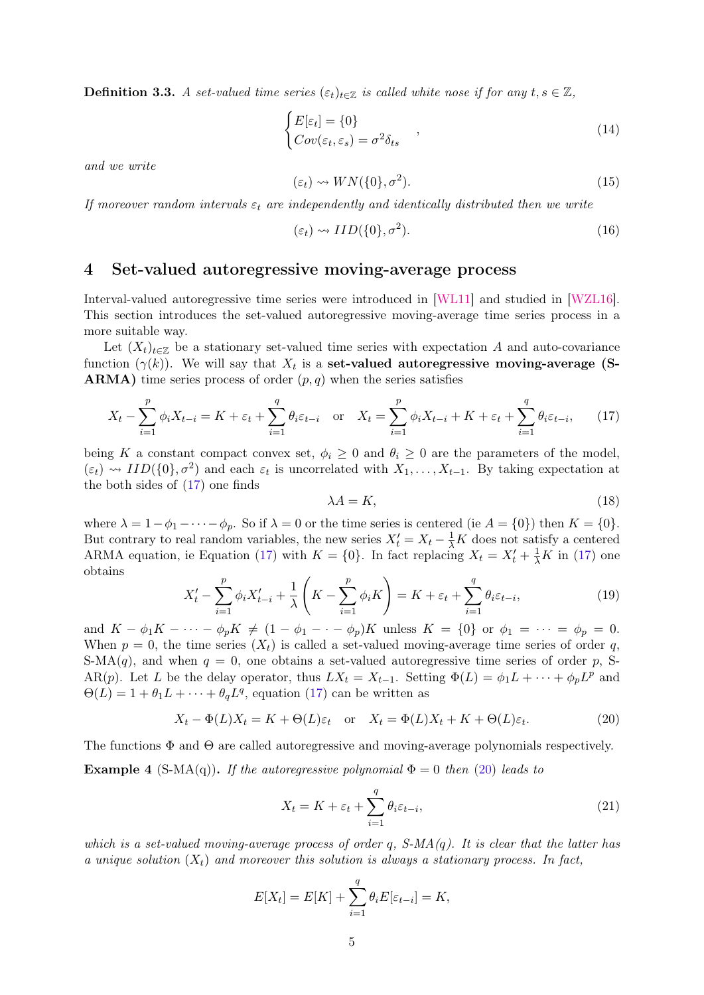**Definition 3.3.** A set-valued time series  $(\varepsilon_t)_{t \in \mathbb{Z}}$  is called white nose if for any  $t, s \in \mathbb{Z}$ ,

$$
\begin{cases} E[\varepsilon_t] = \{0\} \\ Cov(\varepsilon_t, \varepsilon_s) = \sigma^2 \delta_{ts} \end{cases} , \qquad (14)
$$

and we write

$$
(\varepsilon_t) \leadsto WN(\{0\}, \sigma^2). \tag{15}
$$

If moreover random intervals  $\varepsilon_t$  are independently and identically distributed then we write

$$
(\varepsilon_t) \rightsquigarrow IID(\{0\}, \sigma^2). \tag{16}
$$

# <span id="page-4-0"></span>4 Set-valued autoregressive moving-average process

Interval-valued autoregressive time series were introduced in [\[WL11\]](#page-18-6) and studied in [\[WZL16\]](#page-18-11). This section introduces the set-valued autoregressive moving-average time series process in a more suitable way.

Let  $(X_t)_{t\in\mathbb{Z}}$  be a stationary set-valued time series with expectation A and auto-covariance function  $(\gamma(k))$ . We will say that  $X_t$  is a set-valued autoregressive moving-average (S-**ARMA**) time series process of order  $(p, q)$  when the series satisfies

$$
X_t - \sum_{i=1}^p \phi_i X_{t-i} = K + \varepsilon_t + \sum_{i=1}^q \theta_i \varepsilon_{t-i} \quad \text{or} \quad X_t = \sum_{i=1}^p \phi_i X_{t-i} + K + \varepsilon_t + \sum_{i=1}^q \theta_i \varepsilon_{t-i}, \tag{17}
$$

being K a constant compact convex set,  $\phi_i \geq 0$  and  $\theta_i \geq 0$  are the parameters of the model,  $(\varepsilon_t) \rightsquigarrow IID({0}, \sigma^2)$  and each  $\varepsilon_t$  is uncorrelated with  $X_1, \ldots, X_{t-1}$ . By taking expectation at the both sides of [\(17\)](#page-4-1) one finds

<span id="page-4-3"></span><span id="page-4-1"></span>
$$
\lambda A = K,\tag{18}
$$

where  $\lambda = 1 - \phi_1 - \cdots - \phi_p$ . So if  $\lambda = 0$  or the time series is centered (ie  $A = \{0\}$ ) then  $K = \{0\}$ . But contrary to real random variables, the new series  $X_t' = X_t - \frac{1}{\lambda}K$  does not satisfy a centered ARMA equation, ie Equation [\(17\)](#page-4-1) with  $K = \{0\}$ . In fact replacing  $X_t = X'_t + \frac{1}{\lambda}K$  in (17) one obtains

$$
X'_t - \sum_{i=1}^p \phi_i X'_{t-i} + \frac{1}{\lambda} \left( K - \sum_{i=1}^p \phi_i K \right) = K + \varepsilon_t + \sum_{i=1}^q \theta_i \varepsilon_{t-i},\tag{19}
$$

and  $K - \phi_1 K - \cdots - \phi_p K \neq (1 - \phi_1 - \cdots - \phi_p)K$  unless  $K = \{0\}$  or  $\phi_1 = \cdots = \phi_p = 0$ . When  $p = 0$ , the time series  $(X_t)$  is called a set-valued moving-average time series of order q, S-MA(q), and when  $q = 0$ , one obtains a set-valued autoregressive time series of order p, S-AR(p). Let L be the delay operator, thus  $LX_t = X_{t-1}$ . Setting  $\Phi(L) = \phi_1 L + \cdots + \phi_p L^p$  and  $\Theta(L) = 1 + \theta_1 L + \cdots + \theta_q L^q$ , equation [\(17\)](#page-4-1) can be written as

$$
X_t - \Phi(L)X_t = K + \Theta(L)\varepsilon_t \quad \text{or} \quad X_t = \Phi(L)X_t + K + \Theta(L)\varepsilon_t.
$$
 (20)

The functions  $\Phi$  and  $\Theta$  are called autoregressive and moving-average polynomials respectively. **Example 4** (S-MA(q)). If the autoregressive polynomial  $\Phi = 0$  then [\(20\)](#page-4-2) leads to

<span id="page-4-2"></span>
$$
X_t = K + \varepsilon_t + \sum_{i=1}^q \theta_i \varepsilon_{t-i},\tag{21}
$$

which is a set-valued moving-average process of order q,  $S-MA(q)$ . It is clear that the latter has a unique solution  $(X_t)$  and moreover this solution is always a stationary process. In fact,

$$
E[X_t] = E[K] + \sum_{i=1}^{q} \theta_i E[\varepsilon_{t-i}] = K,
$$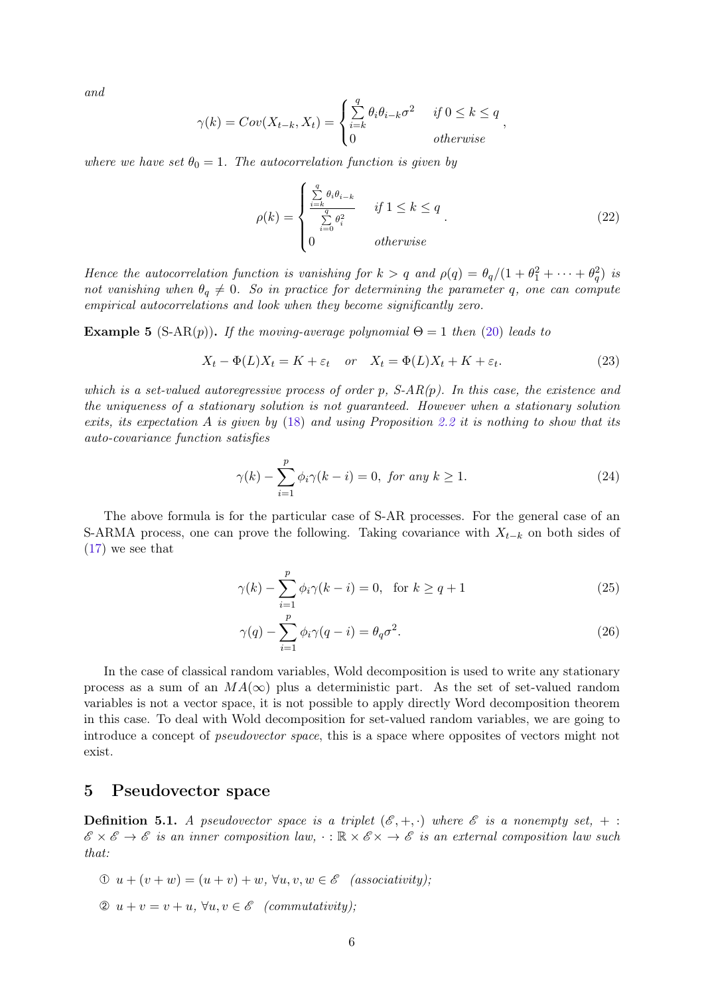and

$$
\gamma(k) = Cov(X_{t-k}, X_t) = \begin{cases} \sum_{i=k}^q \theta_i \theta_{i-k} \sigma^2 & \text{if } 0 \le k \le q \\ 0 & \text{otherwise} \end{cases}
$$

where we have set  $\theta_0 = 1$ . The autocorrelation function is given by

$$
\rho(k) = \begin{cases} \frac{\sum\limits_{i=k}^{q} \theta_i \theta_{i-k}}{\sum\limits_{i=0}^{q} \theta_i^2} & \text{if } 1 \le k \le q \\ 0 & \text{otherwise} \end{cases} \tag{22}
$$

,

Hence the autocorrelation function is vanishing for  $k > q$  and  $\rho(q) = \theta_q/(1 + \theta_1^2 + \cdots + \theta_q^2)$  is not vanishing when  $\theta_q \neq 0$ . So in practice for determining the parameter q, one can compute empirical autocorrelations and look when they become significantly zero.

**Example 5** (S-AR(p)). If the moving-average polynomial  $\Theta = 1$  then [\(20\)](#page-4-2) leads to

$$
X_t - \Phi(L)X_t = K + \varepsilon_t \quad or \quad X_t = \Phi(L)X_t + K + \varepsilon_t. \tag{23}
$$

which is a set-valued autoregressive process of order p,  $S-AR(p)$ . In this case, the existence and the uniqueness of a stationary solution is not guaranteed. However when a stationary solution exits, its expectation A is given by  $(18)$  and using Proposition [2.2](#page-3-1) it is nothing to show that its auto-covariance function satisfies

$$
\gamma(k) - \sum_{i=1}^{p} \phi_i \gamma(k-i) = 0, \text{ for any } k \ge 1.
$$
 (24)

The above formula is for the particular case of S-AR processes. For the general case of an S-ARMA process, one can prove the following. Taking covariance with  $X_{t-k}$  on both sides of [\(17\)](#page-4-1) we see that

$$
\gamma(k) - \sum_{i=1}^{p} \phi_i \gamma(k-i) = 0, \text{ for } k \ge q+1
$$
 (25)

$$
\gamma(q) - \sum_{i=1}^{p} \phi_i \gamma(q-i) = \theta_q \sigma^2.
$$
\n(26)

In the case of classical random variables, Wold decomposition is used to write any stationary process as a sum of an  $MA(\infty)$  plus a deterministic part. As the set of set-valued random variables is not a vector space, it is not possible to apply directly Word decomposition theorem in this case. To deal with Wold decomposition for set-valued random variables, we are going to introduce a concept of pseudovector space, this is a space where opposites of vectors might not exist.

## <span id="page-5-0"></span>5 Pseudovector space

<span id="page-5-1"></span>**Definition 5.1.** A pseudovector space is a triplet  $(\mathcal{E}, +, \cdot)$  where  $\mathcal{E}$  is a nonempty set,  $+$ :  $\mathscr{E} \times \mathscr{E} \to \mathscr{E}$  is an inner composition law,  $\cdot : \mathbb{R} \times \mathscr{E} \times \to \mathscr{E}$  is an external composition law such that:

- $\mathcal{D} u + (v + w) = (u + v) + w$ ,  $\forall u, v, w \in \mathscr{E}$  (associativity);
- ➁ u + v = v + u, ∀u, v ∈ E (commutativity);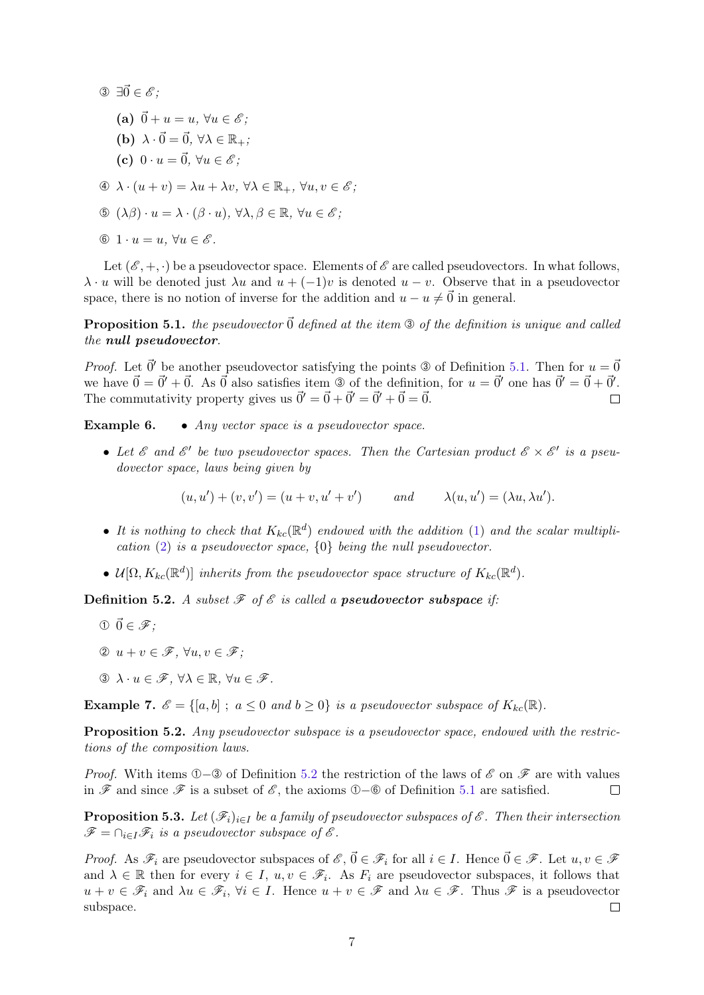③  $\exists \vec{0} \in \mathscr{E}$ ;

- (a)  $\vec{0} + u = u$ ,  $\forall u \in \mathscr{E}$ ;
- (b)  $\lambda \cdot \vec{0} = \vec{0}$ ,  $\forall \lambda \in \mathbb{R}_{+}$ ;
- (c)  $0 \cdot u = \vec{0}$ ,  $\forall u \in \mathscr{E}$ ;
- $\Phi \; \lambda \cdot (u + v) = \lambda u + \lambda v, \, \forall \lambda \in \mathbb{R}_+, \, \forall u, v \in \mathscr{E};$
- $\mathbb{G}(\lambda \beta) \cdot u = \lambda \cdot (\beta \cdot u), \forall \lambda, \beta \in \mathbb{R}, \forall u \in \mathscr{E}$ ;
- ➅ 1 · u = u, ∀u ∈ E .

Let  $(\mathscr{E}, +, \cdot)$  be a pseudovector space. Elements of  $\mathscr{E}$  are called pseudovectors. In what follows,  $\lambda \cdot u$  will be denoted just  $\lambda u$  and  $u + (-1)v$  is denoted  $u - v$ . Observe that in a pseudovector space, there is no notion of inverse for the addition and  $u - u \neq \vec{0}$  in general.

**Proposition 5.1.** the pseudovector  $\vec{0}$  defined at the item  $\odot$  of the definition is unique and called the null pseudovector.

*Proof.* Let  $\vec{0}'$  be another pseudovector satisfying the points  $\circled{0}$  of Definition [5.1.](#page-5-1) Then for  $u = \vec{0}$ we have  $\vec{0} = \vec{0}' + \vec{0}$ . As  $\vec{0}$  also satisfies item  $\circled{2}$  of the definition, for  $u = \vec{0}'$  one has  $\vec{0}' = \vec{0} + \vec{0}'$ . The commutativity property gives us  $\vec{0}' = \vec{0} + \vec{0}' = \vec{0}' + \vec{0} = \vec{0}$ .  $\Box$ 

Example 6. • Any vector space is a pseudovector space.

• Let  $\mathscr E$  and  $\mathscr E'$  be two pseudovector spaces. Then the Cartesian product  $\mathscr E\times \mathscr E'$  is a pseudovector space, laws being given by

$$
(u, u') + (v, v') = (u + v, u' + v') \qquad and \qquad \lambda(u, u') = (\lambda u, \lambda u').
$$

- It is nothing to check that  $K_{kc}(\mathbb{R}^d)$  endowed with the addition [\(1\)](#page-1-0) and the scalar multiplication  $(2)$  is a pseudovector space,  $\{0\}$  being the null pseudovector.
- $\mathcal{U}[\Omega, K_{kc}(\mathbb{R}^d)]$  inherits from the pseudovector space structure of  $K_{kc}(\mathbb{R}^d)$ .

<span id="page-6-0"></span>**Definition 5.2.** A subset  $\mathcal F$  of  $\mathcal E$  is called a **pseudovector subspace** if:

- $\mathbf{0} \ \vec{0} \in \mathscr{F}$ :
- ➁ u + v ∈ F, ∀u, v ∈ F;
- $\Im \lambda \cdot u \in \mathscr{F}, \forall \lambda \in \mathbb{R}, \forall u \in \mathscr{F}.$

**Example 7.**  $\mathcal{E} = \{ [a, b] : a \leq 0 \text{ and } b \geq 0 \}$  is a pseudovector subspace of  $K_{kc}(\mathbb{R})$ .

Proposition 5.2. Any pseudovector subspace is a pseudovector space, endowed with the restrictions of the composition laws.

*Proof.* With items ①−③ of Definition [5.2](#page-6-0) the restriction of the laws of  $\mathscr E$  on  $\mathscr F$  are with values in  $\mathscr F$  and since  $\mathscr F$  is a subset of  $\mathscr E$ , the axioms ①–⑥ of Definition [5.1](#page-5-1) are satisfied.  $\Box$ 

<span id="page-6-1"></span>**Proposition 5.3.** Let  $(\mathscr{F}_i)_{i\in I}$  be a family of pseudovector subspaces of  $\mathscr{E}$ . Then their intersection  $\mathscr{F} = \bigcap_{i \in I} \mathscr{F}_i$  is a pseudovector subspace of  $\mathscr{E}$ .

*Proof.* As  $\mathscr{F}_i$  are pseudovector subspaces of  $\mathscr{E}, \vec{0} \in \mathscr{F}_i$  for all  $i \in I$ . Hence  $\vec{0} \in \mathscr{F}$ . Let  $u, v \in \mathscr{F}$ and  $\lambda \in \mathbb{R}$  then for every  $i \in I$ ,  $u, v \in \mathscr{F}_i$ . As  $F_i$  are pseudovector subspaces, it follows that  $u + v \in \mathscr{F}_i$  and  $\lambda u \in \mathscr{F}_i$ ,  $\forall i \in I$ . Hence  $u + v \in \mathscr{F}$  and  $\lambda u \in \mathscr{F}$ . Thus  $\mathscr{F}$  is a pseudovector subspace.  $\Box$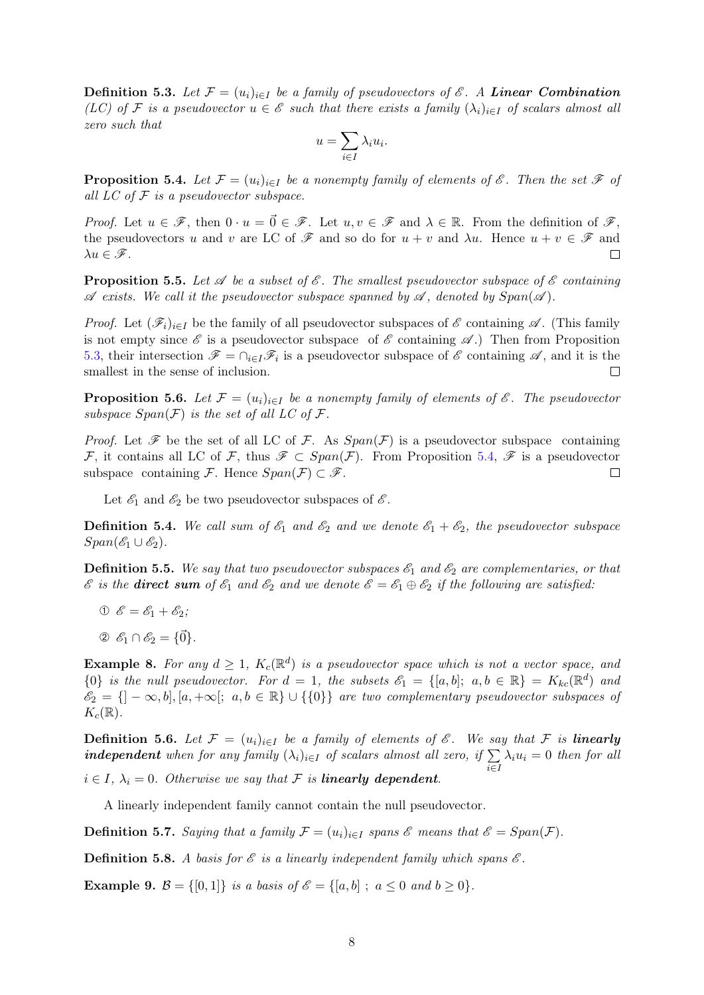**Definition 5.3.** Let  $\mathcal{F} = (u_i)_{i \in I}$  be a family of pseudovectors of  $\mathcal{E}$ . A **Linear Combination** (LC) of F is a pseudovector  $u \in \mathscr{E}$  such that there exists a family  $(\lambda_i)_{i \in I}$  of scalars almost all zero such that

$$
u = \sum_{i \in I} \lambda_i u_i.
$$

<span id="page-7-0"></span>**Proposition 5.4.** Let  $\mathcal{F} = (u_i)_{i \in I}$  be a nonempty family of elements of  $\mathcal{E}$ . Then the set  $\mathcal{F}$  of all  $LC$  of  $\mathcal F$  is a pseudovector subspace.

*Proof.* Let  $u \in \mathscr{F}$ , then  $0 \cdot u = \vec{0} \in \mathscr{F}$ . Let  $u, v \in \mathscr{F}$  and  $\lambda \in \mathbb{R}$ . From the definition of  $\mathscr{F}$ . the pseudovectors u and v are LC of  $\mathscr F$  and so do for  $u + v$  and  $\lambda u$ . Hence  $u + v \in \mathscr F$  and  $\lambda u \in \mathscr{F}$ .  $\Box$ 

**Proposition 5.5.** Let  $\mathscr A$  be a subset of  $\mathscr E$ . The smallest pseudovector subspace of  $\mathscr E$  containing  $\mathscr A$  exists. We call it the pseudovector subspace spanned by  $\mathscr A$ , denoted by  $Span(\mathscr A)$ .

*Proof.* Let  $(\mathscr{F}_i)_{i\in I}$  be the family of all pseudovector subspaces of  $\mathscr E$  containing  $\mathscr A$ . (This family is not empty since  $\mathscr E$  is a pseudovector subspace of  $\mathscr E$  containing  $\mathscr A$ .) Then from Proposition [5.3,](#page-6-1) their intersection  $\mathscr{F} = \bigcap_{i \in I} \mathscr{F}_i$  is a pseudovector subspace of  $\mathscr{E}$  containing  $\mathscr{A}$ , and it is the smallest in the sense of inclusion.  $\Box$ 

**Proposition 5.6.** Let  $\mathcal{F} = (u_i)_{i \in I}$  be a nonempty family of elements of  $\mathcal{E}$ . The pseudovector subspace  $Span(\mathcal{F})$  is the set of all LC of  $\mathcal{F}$ .

*Proof.* Let  $\mathscr F$  be the set of all LC of F. As  $Span(\mathcal F)$  is a pseudovector subspace containing F, it contains all LC of F, thus  $\mathscr{F} \subset Span(\mathcal{F})$ . From Proposition [5.4,](#page-7-0)  $\mathscr{F}$  is a pseudovector subspace containing F. Hence  $Span(\mathcal{F}) \subset \mathcal{F}$ .  $\Box$ 

Let  $\mathscr{E}_1$  and  $\mathscr{E}_2$  be two pseudovector subspaces of  $\mathscr{E}$ .

**Definition 5.4.** We call sum of  $\mathscr{E}_1$  and  $\mathscr{E}_2$  and we denote  $\mathscr{E}_1 + \mathscr{E}_2$ , the pseudovector subspace  $Span(\mathscr{E}_1 \cup \mathscr{E}_2).$ 

**Definition 5.5.** We say that two pseudovector subspaces  $\mathscr{E}_1$  and  $\mathscr{E}_2$  are complementaries, or that  $\mathscr E$  is the **direct sum** of  $\mathscr E_1$  and  $\mathscr E_2$  and we denote  $\mathscr E = \mathscr E_1 \oplus \mathscr E_2$  if the following are satisfied:

- ①  $\mathscr{E} = \mathscr{E}_1 + \mathscr{E}_2;$
- ②  $\mathcal{E}_1 \cap \mathcal{E}_2 = \{ \vec{0} \}.$

**Example 8.** For any  $d \geq 1$ ,  $K_c(\mathbb{R}^d)$  is a pseudovector space which is not a vector space, and  ${0}$  is the null pseudovector. For  $d = 1$ , the subsets  $\mathscr{E}_1 = \{ [a, b]; a, b \in \mathbb{R} \} = K_{kc}(\mathbb{R}^d)$  and  $\mathscr{E}_2 = \{]-\infty, b], [a, +\infty[; a, b \in \mathbb{R} \} \cup \{0\}\}\$ are two complementary pseudovector subspaces of  $K_c(\mathbb{R})$ .

**Definition 5.6.** Let  $\mathcal{F} = (u_i)_{i \in I}$  be a family of elements of  $\mathcal{E}$ . We say that  $\mathcal{F}$  is **linearly independent** when for any family  $(\lambda_i)_{i\in I}$  of scalars almost all zero, if  $\Sigma$ i∈I  $\lambda_i u_i = 0$  then for all  $i \in I$ ,  $\lambda_i = 0$ . Otherwise we say that F is **linearly dependent**.

A linearly independent family cannot contain the null pseudovector.

**Definition 5.7.** Saying that a family  $\mathcal{F} = (u_i)_{i \in I}$  spans  $\mathcal{E}$  means that  $\mathcal{E} = Span(\mathcal{F})$ .

**Definition 5.8.** A basis for  $\mathcal{E}$  is a linearly independent family which spans  $\mathcal{E}$ .

**Example 9.**  $\mathcal{B} = \{ [0, 1] \}$  is a basis of  $\mathcal{E} = \{ [a, b] : a \leq 0 \text{ and } b \geq 0 \}.$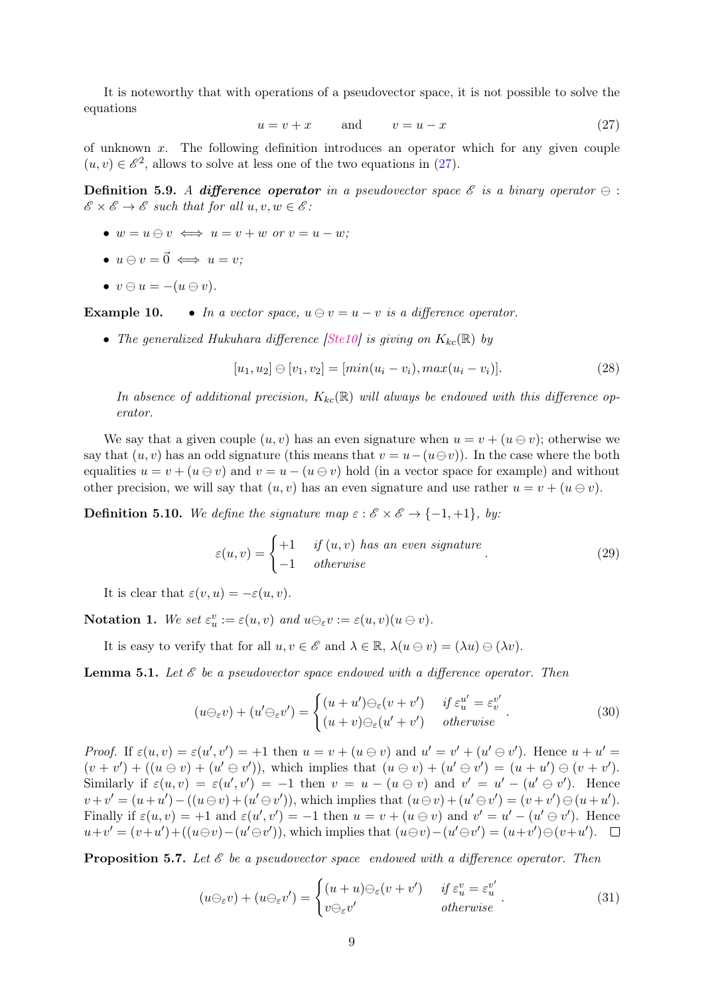<span id="page-8-0"></span>It is noteworthy that with operations of a pseudovector space, it is not possible to solve the equations

$$
u = v + x \qquad \text{and} \qquad v = u - x \tag{27}
$$

of unknown  $x$ . The following definition introduces an operator which for any given couple  $(u, v) \in \mathscr{E}^2$ , allows to solve at less one of the two equations in [\(27\)](#page-8-0).

**Definition 5.9.** A difference operator in a pseudovector space  $\mathscr E$  is a binary operator  $\ominus$ :  $\mathscr{E} \times \mathscr{E} \to \mathscr{E}$  such that for all  $u, v, w \in \mathscr{E}$ :

- $w = u \ominus v \iff u = v + w$  or  $v = u w$ ;
- $u \ominus v = \vec{0} \iff u = v$ ;
- $v \ominus u = -(u \ominus v).$

**Example 10.** • In a vector space,  $u \ominus v = u - v$  is a difference operator.

• The generalized Hukuhara difference  $|Ste10|$  is giving on  $K_{kc}(\mathbb{R})$  by

$$
[u_1, u_2] \ominus [v_1, v_2] = [min(u_i - v_i), max(u_i - v_i)]. \tag{28}
$$

In absence of additional precision,  $K_{kc}(\mathbb{R})$  will always be endowed with this difference operator.

We say that a given couple  $(u, v)$  has an even signature when  $u = v + (u \ominus v)$ ; otherwise we say that  $(u, v)$  has an odd signature (this means that  $v = u - (u \ominus v)$ ). In the case where the both equalities  $u = v + (u \ominus v)$  and  $v = u - (u \ominus v)$  hold (in a vector space for example) and without other precision, we will say that  $(u, v)$  has an even signature and use rather  $u = v + (u \ominus v)$ .

**Definition 5.10.** We define the signature map  $\varepsilon : \mathscr{E} \times \mathscr{E} \to \{-1, +1\}$ , by:

<span id="page-8-1"></span>
$$
\varepsilon(u,v) = \begin{cases}\n+1 & \text{if } (u,v) \text{ has an even signature} \\
-1 & \text{otherwise}\n\end{cases} \tag{29}
$$

It is clear that  $\varepsilon(v, u) = -\varepsilon(u, v)$ .

**Notation 1.** We set  $\varepsilon_u^v := \varepsilon(u, v)$  and  $u \ominus_{\varepsilon} v := \varepsilon(u, v)(u \ominus v)$ .

It is easy to verify that for all  $u, v \in \mathscr{E}$  and  $\lambda \in \mathbb{R}$ ,  $\lambda(u \ominus v) = (\lambda u) \ominus (\lambda v)$ .

**Lemma 5.1.** Let  $\mathcal{E}$  be a pseudovector space endowed with a difference operator. Then

$$
(u\ominus_{\varepsilon}v) + (u'\ominus_{\varepsilon}v') = \begin{cases} (u+u')\ominus_{\varepsilon}(v+v') & \text{if } \varepsilon_u^{u'} = \varepsilon_v^{v'}\\ (u+v)\ominus_{\varepsilon}(u'+v') & \text{otherwise} \end{cases}.
$$
 (30)

Proof. If  $\varepsilon(u, v) = \varepsilon(u', v') = +1$  then  $u = v + (u \ominus v)$  and  $u' = v' + (u' \ominus v')$ . Hence  $u + u' =$  $(v + v') + ((u \ominus v) + (u' \ominus v'))$ , which implies that  $(u \ominus v) + (u' \ominus v') = (u + u') \ominus (v + v')$ . Similarly if  $\varepsilon(u, v) = \varepsilon(u', v') = -1$  then  $v = u - (u \ominus v)$  and  $v' = u' - (u' \ominus v')$ . Hence  $v + v' = (u + u') - ((u \ominus v) + (u' \ominus v'))$ , which implies that  $(u \ominus v) + (u' \ominus v') = (v + v') \ominus (u + u')$ . Finally if  $\varepsilon(u, v) = +1$  and  $\varepsilon(u', v') = -1$  then  $u = v + (u \ominus v)$  and  $v' = u' - (u' \ominus v')$ . Hence  $u + v' = (v + u') + ((u \ominus v) - (u' \ominus v'))$ , which implies that  $(u \ominus v) - (u' \ominus v') = (u + v') \ominus (v + u')$ .

**Proposition 5.7.** Let  $\mathcal{E}$  be a pseudovector space endowed with a difference operator. Then

<span id="page-8-2"></span>
$$
(u\ominus_{\varepsilon}v) + (u\ominus_{\varepsilon}v') = \begin{cases} (u+u)\ominus_{\varepsilon}(v+v') & \text{if } \varepsilon_u^v = \varepsilon_u^{v'} \\ v\ominus_{\varepsilon}v' & \text{otherwise} \end{cases} (31)
$$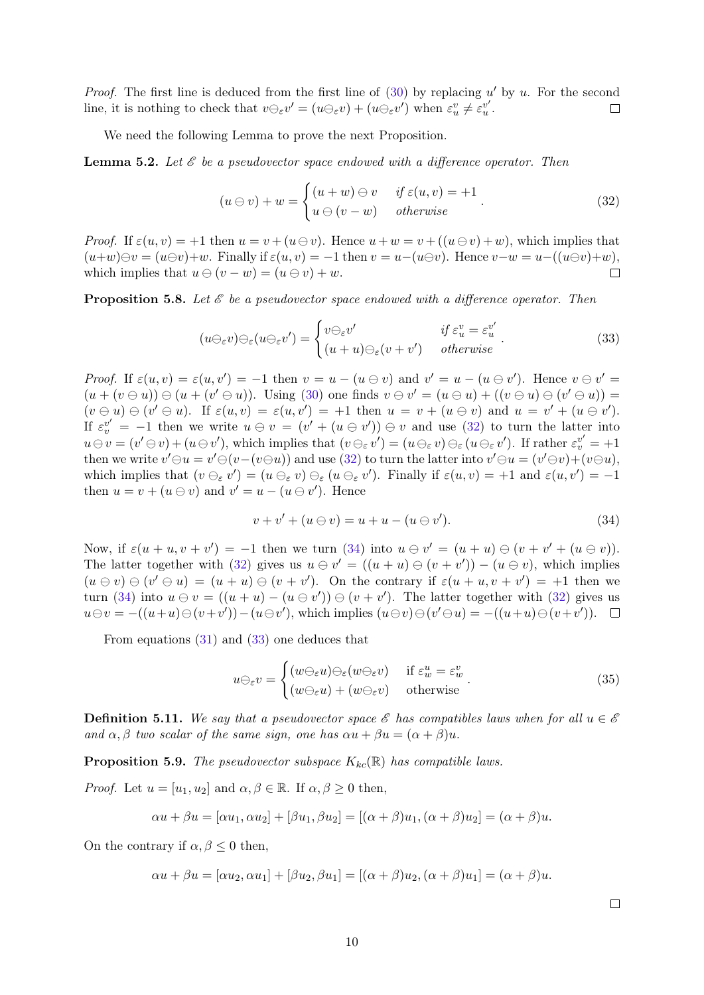*Proof.* The first line is deduced from the first line of  $(30)$  by replacing u' by u. For the second line, it is nothing to check that  $v \ominus_{\varepsilon} v' = (u \ominus_{\varepsilon} v) + (u \ominus_{\varepsilon} v')$  when  $\varepsilon_u^v \neq \varepsilon_u^{v'}$ .  $\Box$ 

We need the following Lemma to prove the next Proposition.

**Lemma 5.2.** Let  $\mathcal{E}$  be a pseudovector space endowed with a difference operator. Then

<span id="page-9-2"></span><span id="page-9-0"></span>
$$
(u \ominus v) + w = \begin{cases} (u+w) \ominus v & \text{if } \varepsilon(u,v) = +1 \\ u \ominus (v-w) & \text{otherwise} \end{cases} (32)
$$

*Proof.* If  $\varepsilon(u, v) = +1$  then  $u = v + (u \ominus v)$ . Hence  $u + w = v + ((u \ominus v) + w)$ , which implies that  $(u+w)\ominus v = (u\ominus v)+w$ . Finally if  $\varepsilon(u,v) = -1$  then  $v = u-(u\ominus v)$ . Hence  $v-w = u-((u\ominus v)+w)$ , which implies that  $u \ominus (v - w) = (u \ominus v) + w$ .  $\Box$ 

**Proposition 5.8.** Let  $\mathcal{E}$  be a pseudovector space endowed with a difference operator. Then

$$
(u\ominus_{\varepsilon}v)\ominus_{\varepsilon}(u\ominus_{\varepsilon}v') = \begin{cases} v\ominus_{\varepsilon}v' & \text{if } \varepsilon_u^v = \varepsilon_u^{v'}\\ (u+u)\ominus_{\varepsilon}(v+v') & otherwise \end{cases} \tag{33}
$$

Proof. If  $\varepsilon(u, v) = \varepsilon(u, v') = -1$  then  $v = u - (u \ominus v)$  and  $v' = u - (u \ominus v')$ . Hence  $v \ominus v' =$  $(u + (v \ominus u)) \ominus (u + (v' \ominus u))$ . Using [\(30\)](#page-8-1) one finds  $v \ominus v' = (u \ominus u) + ((v \ominus u) \ominus (v' \ominus u))$  $(v \ominus u) \ominus (v' \ominus u)$ . If  $\varepsilon(u, v) = \varepsilon(u, v') = +1$  then  $u = v + (u \ominus v)$  and  $u = v' + (u \ominus v')$ . If  $\varepsilon_v^{v'} = -1$  then we write  $u \in v = (v' + (u \in v')) \ominus v$  and use [\(32\)](#page-9-0) to turn the latter into  $u \ominus v = (v' \ominus v) + (u \ominus v')$ , which implies that  $(v \ominus_{\varepsilon} v') = (u \ominus_{\varepsilon} v) \ominus_{\varepsilon} (u \ominus_{\varepsilon} v')$ . If rather  $\varepsilon_v^{v'} = +1$ then we write  $v' \ominus u = v' \ominus (v - (v \ominus u))$  and use [\(32\)](#page-9-0) to turn the latter into  $v' \ominus u = (v' \ominus v) + (v \ominus u)$ , which implies that  $(v \ominus_{\varepsilon} v') = (u \ominus_{\varepsilon} v) \ominus_{\varepsilon} (u \ominus_{\varepsilon} v')$ . Finally if  $\varepsilon(u, v) = +1$  and  $\varepsilon(u, v') = -1$ then  $u = v + (u \ominus v)$  and  $v' = u - (u \ominus v')$ . Hence

<span id="page-9-1"></span>
$$
v + v' + (u \ominus v) = u + u - (u \ominus v'). \tag{34}
$$

Now, if  $\varepsilon(u + u, v + v') = -1$  then we turn [\(34\)](#page-9-1) into  $u \ominus v' = (u + u) \ominus (v + v' + (u \ominus v))$ . The latter together with [\(32\)](#page-9-0) gives us  $u \ominus v' = ((u + u) \ominus (v + v')) - (u \ominus v)$ , which implies  $(u \ominus v) \ominus (v' \ominus u) = (u + u) \ominus (v + v')$ . On the contrary if  $\varepsilon(u + u, v + v') = +1$  then we turn [\(34\)](#page-9-1) into  $u \ominus v = ((u + u) - (u \ominus v')) \ominus (v + v')$ . The latter together with [\(32\)](#page-9-0) gives us  $u \ominus v = -((u+u) \ominus (v+v')) - (u \ominus v'),$  which implies  $(u \ominus v) \ominus (v' \ominus u) = -((u+u) \ominus (v+v')).$ 

From equations [\(31\)](#page-8-2) and [\(33\)](#page-9-2) one deduces that

<span id="page-9-3"></span>
$$
u\ominus_{\varepsilon}v = \begin{cases} (w\ominus_{\varepsilon}u)\ominus_{\varepsilon}(w\ominus_{\varepsilon}v) & \text{if } \varepsilon_w^u = \varepsilon_w^v\\ (w\ominus_{\varepsilon}u) + (w\ominus_{\varepsilon}v) & \text{otherwise} \end{cases} .
$$
 (35)

**Definition 5.11.** We say that a pseudovector space  $\mathscr E$  has compatibles laws when for all  $u \in \mathscr E$ and  $\alpha, \beta$  two scalar of the same sign, one has  $\alpha u + \beta u = (\alpha + \beta)u$ .

**Proposition 5.9.** The pseudovector subspace  $K_{kc}(\mathbb{R})$  has compatible laws.

*Proof.* Let  $u = [u_1, u_2]$  and  $\alpha, \beta \in \mathbb{R}$ . If  $\alpha, \beta \geq 0$  then,

$$
\alpha u + \beta u = [\alpha u_1, \alpha u_2] + [\beta u_1, \beta u_2] = [(\alpha + \beta)u_1, (\alpha + \beta)u_2] = (\alpha + \beta)u.
$$

On the contrary if  $\alpha, \beta \leq 0$  then,

$$
\alpha u + \beta u = [\alpha u_2, \alpha u_1] + [\beta u_2, \beta u_1] = [(\alpha + \beta)u_2, (\alpha + \beta)u_1] = (\alpha + \beta)u.
$$

 $\Box$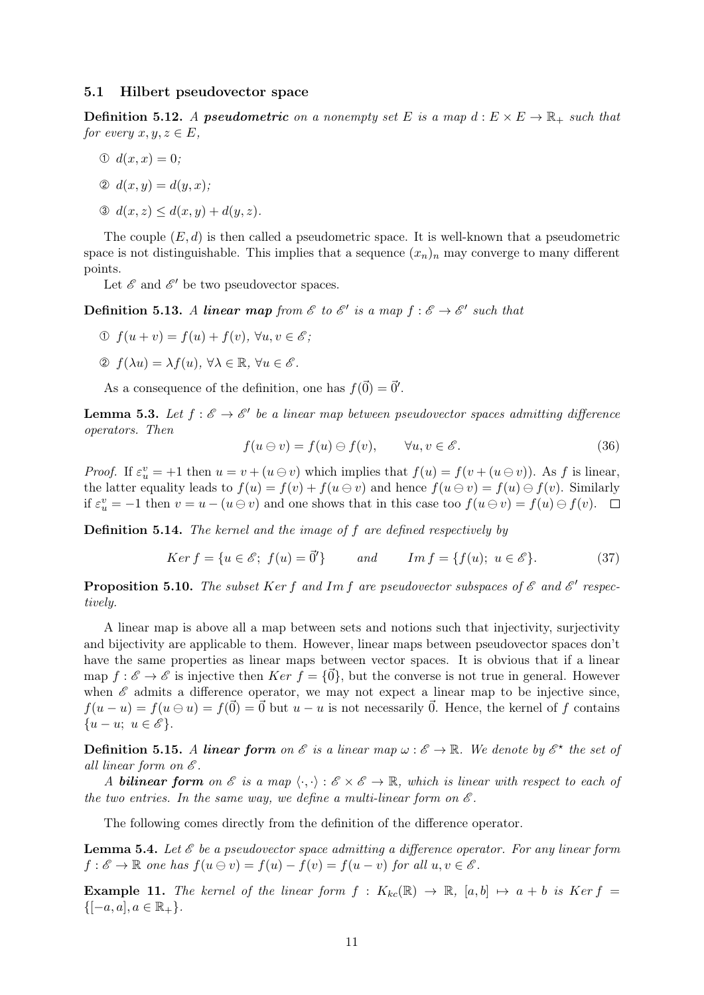### 5.1 Hilbert pseudovector space

**Definition 5.12.** A **pseudometric** on a nonempty set E is a map  $d : E \times E \to \mathbb{R}_+$  such that for every  $x, y, z \in E$ ,

$$
0 \ d(x,x)=0;
$$

$$
\mathcal{D} d(x, y) = d(y, x);
$$

$$
\mathfrak{D} \ d(x, z) \le d(x, y) + d(y, z).
$$

The couple  $(E, d)$  is then called a pseudometric space. It is well-known that a pseudometric space is not distinguishable. This implies that a sequence  $(x_n)_n$  may converge to many different points.

Let  $\mathcal E$  and  $\mathcal E'$  be two pseudovector spaces.

**Definition 5.13.** A linear map from  $\mathscr E$  to  $\mathscr E'$  is a map  $f : \mathscr E \to \mathscr E'$  such that

- ➀ f(u + v) = f(u) + f(v), ∀u, v ∈ E ;
- ➁ f(λu) = λf(u), ∀λ ∈ R, ∀u ∈ E .

As a consequence of the definition, one has  $f(\vec{0}) = \vec{0}'$ .

**Lemma 5.3.** Let  $f : \mathscr{E} \to \mathscr{E}'$  be a linear map between pseudovector spaces admitting difference operators. Then

$$
f(u \ominus v) = f(u) \ominus f(v), \qquad \forall u, v \in \mathscr{E}.
$$
 (36)

*Proof.* If  $\varepsilon_u^v = +1$  then  $u = v + (u \ominus v)$  which implies that  $f(u) = f(v + (u \ominus v))$ . As f is linear, the latter equality leads to  $f(u) = f(v) + f(u \ominus v)$  and hence  $f(u \ominus v) = f(u) \ominus f(v)$ . Similarly if  $\varepsilon_u^v = -1$  then  $v = u - (u \ominus v)$  and one shows that in this case too  $f(u \ominus v) = f(u) \ominus f(v)$ .

Definition 5.14. The kernel and the image of f are defined respectively by

$$
Ker f = \{u \in \mathscr{E}; f(u) = \vec{0}'\}
$$
 and 
$$
Im f = \{f(u); u \in \mathscr{E}\}.
$$
 (37)

**Proposition 5.10.** The subset Ker f and Im f are pseudovector subspaces of  $\mathscr E$  and  $\mathscr E'$  respectively.

A linear map is above all a map between sets and notions such that injectivity, surjectivity and bijectivity are applicable to them. However, linear maps between pseudovector spaces don't have the same properties as linear maps between vector spaces. It is obvious that if a linear map  $f : \mathscr{E} \to \mathscr{E}$  is injective then  $Ker f = \{0\}$ , but the converse is not true in general. However when  $\mathscr E$  admits a difference operator, we may not expect a linear map to be injective since,  $f(u - u) = f(u \ominus u) = f(\vec{0}) = \vec{0}$  but  $u - u$  is not necessarily  $\vec{0}$ . Hence, the kernel of f contains  $\{u-u; u \in \mathscr{E}\}.$ 

**Definition 5.15.** A linear form on  $\mathscr E$  is a linear map  $\omega : \mathscr E \to \mathbb R$ . We denote by  $\mathscr E^{\star}$  the set of all linear form on  $\mathscr E$ .

A **bilinear form** on  $\mathscr E$  is a map  $\langle \cdot, \cdot \rangle : \mathscr E \times \mathscr E \to \mathbb R$ , which is linear with respect to each of the two entries. In the same way, we define a multi-linear form on  $\mathscr E$ .

The following comes directly from the definition of the difference operator.

<span id="page-10-0"></span>**Lemma 5.4.** Let  $\mathscr E$  be a pseudovector space admitting a difference operator. For any linear form  $f : \mathscr{E} \to \mathbb{R}$  one has  $f(u \ominus v) = f(u) - f(v) = f(u - v)$  for all  $u, v \in \mathscr{E}$ .

**Example 11.** The kernel of the linear form  $f : K_{kc}(\mathbb{R}) \to \mathbb{R}$ ,  $[a, b] \mapsto a + b$  is Ker  $f =$  $\{[-a, a], a \in \mathbb{R}_+\}.$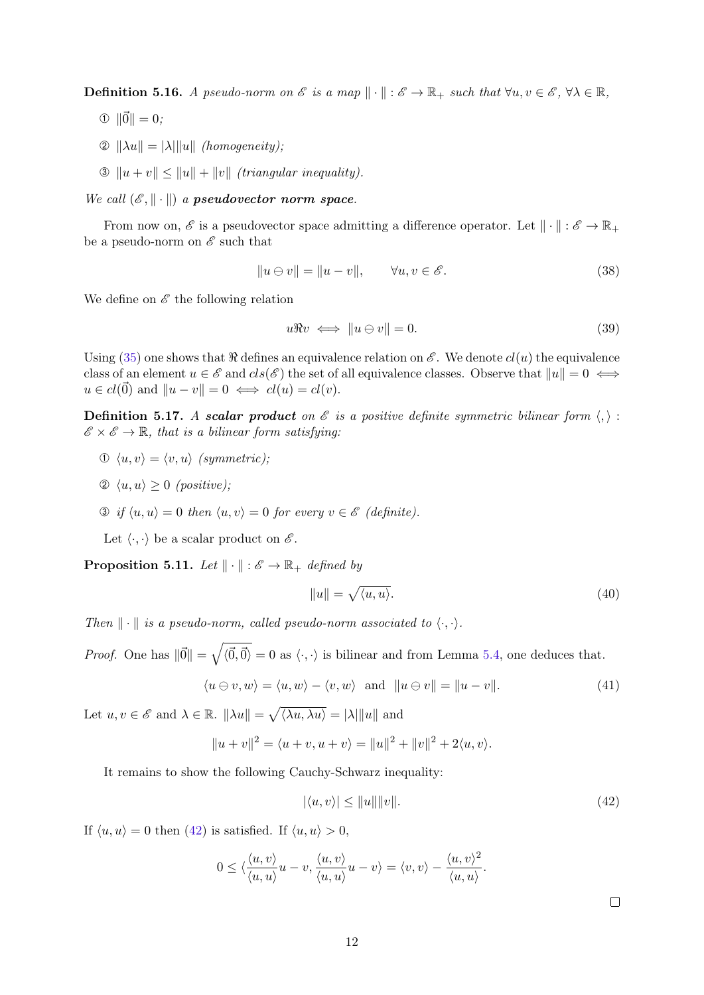**Definition 5.16.** A pseudo-norm on  $\mathscr E$  is a map  $\|\cdot\|: \mathscr E \to \mathbb R_+$  such that  $\forall u, v \in \mathscr E$ ,  $\forall \lambda \in \mathbb R$ ,

- $\Phi$   $\|\vec{0}\| = 0$ ;
- $\mathcal{D} \|\lambda u\| = |\lambda| \|u\|$  (homogeneity);
- $\mathcal{B} \|u + v\| \leq \|u\| + \|v\|$  *(triangular inequality).*

We call  $(\mathscr{E}, \|\cdot\|)$  a pseudovector norm space.

From now on,  $\mathscr E$  is a pseudovector space admitting a difference operator. Let  $\|\cdot\|:\mathscr E\to\mathbb R_+$ be a pseudo-norm on  $\mathscr E$  such that

$$
||u \ominus v|| = ||u - v||, \qquad \forall u, v \in \mathscr{E}.
$$
\n(38)

We define on  $\mathscr E$  the following relation

<span id="page-11-2"></span>
$$
u\Re v \iff \|u \ominus v\| = 0. \tag{39}
$$

Using [\(35\)](#page-9-3) one shows that  $\Re$  defines an equivalence relation on  $\mathscr E$ . We denote  $cl(u)$  the equivalence class of an element  $u \in \mathscr{E}$  and  $cls(\mathscr{E})$  the set of all equivalence classes. Observe that  $||u|| = 0 \iff$  $u \in cl(\vec{0})$  and  $||u - v|| = 0 \iff cl(u) = cl(v).$ 

<span id="page-11-1"></span>**Definition 5.17.** A scalar product on  $\mathcal{E}$  is a positive definite symmetric bilinear form  $\langle, \rangle$ :  $\mathscr{E} \times \mathscr{E} \to \mathbb{R}$ , that is a bilinear form satisfying:

- $\mathcal{D} \langle u, v \rangle = \langle v, u \rangle$  (symmetric);
- $\oslash \langle u, u \rangle > 0$  (positive);
- $\mathcal{D}$  if  $\langle u, u \rangle = 0$  then  $\langle u, v \rangle = 0$  for every  $v \in \mathscr{E}$  (definite).

Let  $\langle \cdot, \cdot \rangle$  be a scalar product on  $\mathscr{E}$ .

**Proposition 5.11.** Let  $\|\cdot\| : \mathscr{E} \to \mathbb{R}_+$  defined by

$$
||u|| = \sqrt{\langle u, u \rangle}.
$$
 (40)

Then  $\|\cdot\|$  is a pseudo-norm, called pseudo-norm associated to  $\langle \cdot, \cdot \rangle$ .

*Proof.* One has  $\|\vec{0}\| = \sqrt{\langle \vec{0}, \vec{0} \rangle} = 0$  as  $\langle \cdot, \cdot \rangle$  is bilinear and from Lemma [5.4,](#page-10-0) one deduces that.

$$
\langle u \ominus v, w \rangle = \langle u, w \rangle - \langle v, w \rangle \text{ and } ||u \ominus v|| = ||u - v||. \tag{41}
$$

Let  $u, v \in \mathscr{E}$  and  $\lambda \in \mathbb{R}$ .  $\|\lambda u\| = \sqrt{\langle \lambda u, \lambda u \rangle} = |\lambda| \|u\|$  and

$$
||u + v||2 = \langle u + v, u + v \rangle = ||u||2 + ||v||2 + 2\langle u, v \rangle.
$$

It remains to show the following Cauchy-Schwarz inequality:

<span id="page-11-0"></span>
$$
|\langle u, v \rangle| \le ||u|| ||v||. \tag{42}
$$

If  $\langle u, u \rangle = 0$  then [\(42\)](#page-11-0) is satisfied. If  $\langle u, u \rangle > 0$ ,

$$
0 \le \langle \frac{\langle u, v \rangle}{\langle u, u \rangle} u - v, \frac{\langle u, v \rangle}{\langle u, u \rangle} u - v \rangle = \langle v, v \rangle - \frac{\langle u, v \rangle^2}{\langle u, u \rangle}.
$$

 $\Box$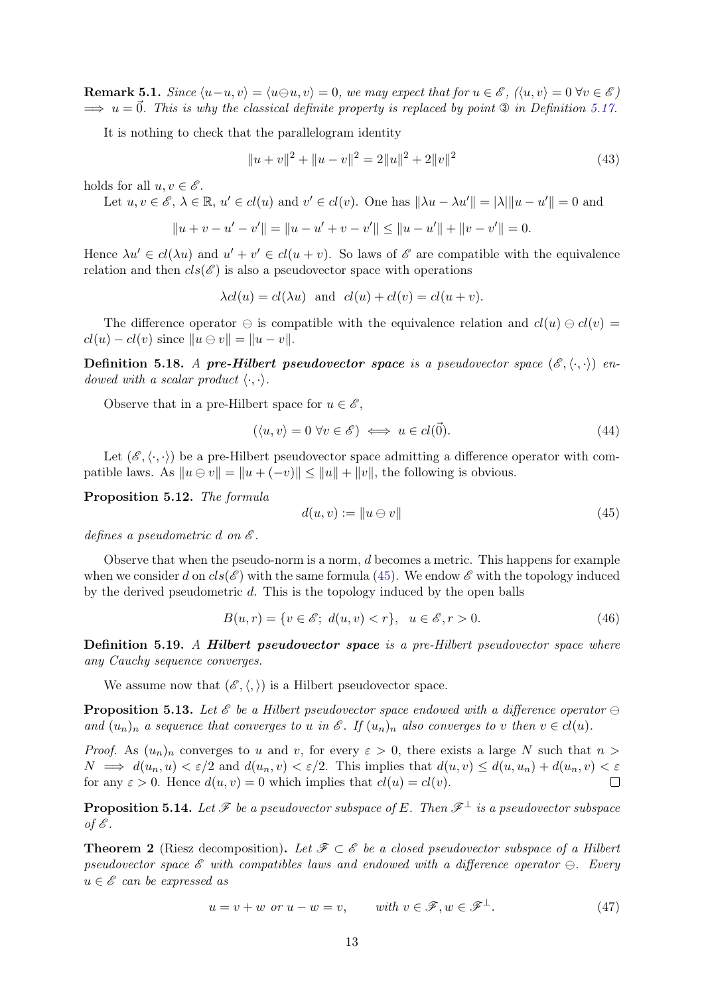**Remark 5.1.** Since  $\langle u-u, v\rangle = \langle u\ominus u, v\rangle = 0$ , we may expect that for  $u \in \mathscr{E}$ ,  $(\langle u, v\rangle = 0 \ \forall v \in \mathscr{E})$  $\implies u = \vec{0}$ . This is why the classical definite property is replaced by point  $\mathcal{D}$  in Definition [5.17.](#page-11-1)

It is nothing to check that the parallelogram identity

<span id="page-12-1"></span>
$$
||u + v||2 + ||u - v||2 = 2||u||2 + 2||v||2
$$
\n(43)

holds for all  $u, v \in \mathscr{E}$ .

Let  $u, v \in \mathscr{E}, \lambda \in \mathbb{R}, u' \in cl(u)$  and  $v' \in cl(v)$ . One has  $\|\lambda u - \lambda u'\| = |\lambda| \|u - u'\| = 0$  and

$$
||u + v - u' - v'|| = ||u - u' + v - v'|| \le ||u - u'|| + ||v - v'|| = 0.
$$

Hence  $\lambda u' \in cl(\lambda u)$  and  $u' + v' \in cl(u + v)$ . So laws of  $\mathscr E$  are compatible with the equivalence relation and then  $cls(\mathcal{E})$  is also a pseudovector space with operations

$$
\lambda cl(u) = cl(\lambda u)
$$
 and  $cl(u) + cl(v) = cl(u + v)$ .

The difference operator  $\ominus$  is compatible with the equivalence relation and  $cl(u) \ominus cl(v)$  $cl(u) - cl(v)$  since  $||u \ominus v|| = ||u - v||$ .

**Definition 5.18.** A pre-Hilbert pseudovector space is a pseudovector space  $(\mathscr{E}, \langle \cdot, \cdot \rangle)$  endowed with a scalar product  $\langle \cdot, \cdot \rangle$ .

Observe that in a pre-Hilbert space for  $u \in \mathscr{E}$ ,

$$
(\langle u, v \rangle = 0 \,\forall v \in \mathscr{E}) \iff u \in cl(\vec{0}). \tag{44}
$$

Let  $(\mathscr{E}, \langle \cdot, \cdot \rangle)$  be a pre-Hilbert pseudovector space admitting a difference operator with compatible laws. As  $||u \ominus v|| = ||u + (-v)|| \le ||u|| + ||v||$ , the following is obvious.

Proposition 5.12. The formula

<span id="page-12-0"></span>
$$
d(u, v) := \|u \ominus v\| \tag{45}
$$

defines a pseudometric d on  $\mathscr E$ .

Observe that when the pseudo-norm is a norm, d becomes a metric. This happens for example when we consider d on  $cls(\mathcal{E})$  with the same formula [\(45\)](#page-12-0). We endow  $\mathcal{E}$  with the topology induced by the derived pseudometric d. This is the topology induced by the open balls

$$
B(u,r) = \{v \in \mathscr{E};\ d(u,v) < r\}, \ u \in \mathscr{E}, r > 0. \tag{46}
$$

Definition 5.19. A Hilbert pseudovector space is a pre-Hilbert pseudovector space where any Cauchy sequence converges.

We assume now that  $(\mathscr{E}, \langle, \rangle)$  is a Hilbert pseudovector space.

**Proposition 5.13.** Let  $\mathscr E$  be a Hilbert pseudovector space endowed with a difference operator  $\ominus$ and  $(u_n)_n$  a sequence that converges to u in  $\mathscr E$ . If  $(u_n)_n$  also converges to v then  $v \in cl(u)$ .

*Proof.* As  $(u_n)_n$  converges to u and v, for every  $\varepsilon > 0$ , there exists a large N such that  $n >$  $N \implies d(u_n, u) < \varepsilon/2$  and  $d(u_n, v) < \varepsilon/2$ . This implies that  $d(u, v) \leq d(u, u_n) + d(u_n, v) < \varepsilon$ for any  $\varepsilon > 0$ . Hence  $d(u, v) = 0$  which implies that  $cl(u) = cl(v)$ .  $\Box$ 

**Proposition 5.14.** Let  $\mathcal F$  be a pseudovector subspace of E. Then  $\mathcal F^{\perp}$  is a pseudovector subspace of  $\mathscr E$ .

**Theorem 2** (Riesz decomposition). Let  $\mathscr{F} \subset \mathscr{E}$  be a closed pseudovector subspace of a Hilbert pseudovector space  $\mathscr E$  with compatibles laws and endowed with a difference operator  $\ominus$ . Every  $u \in \mathscr{E}$  can be expressed as

$$
u = v + w \text{ or } u - w = v, \qquad \text{with } v \in \mathcal{F}, w \in \mathcal{F}^{\perp}.
$$
 (47)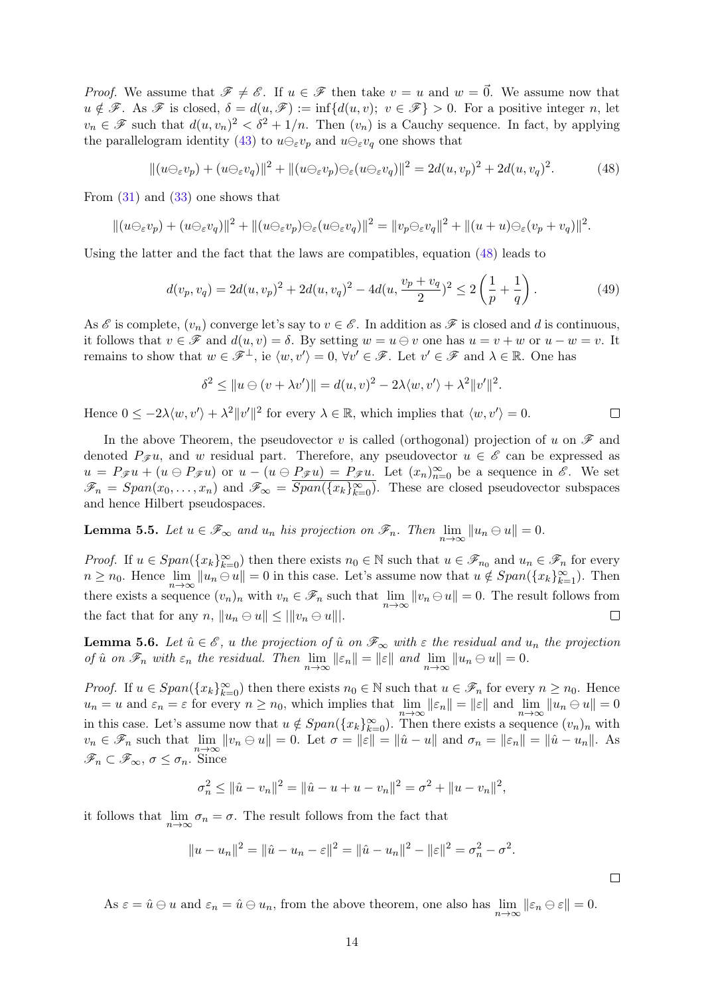*Proof.* We assume that  $\mathscr{F} \neq \mathscr{E}$ . If  $u \in \mathscr{F}$  then take  $v = u$  and  $w = \vec{0}$ . We assume now that  $u \notin \mathscr{F}$ . As  $\mathscr{F}$  is closed,  $\delta = d(u, \mathscr{F}) := \inf \{d(u, v); v \in \mathscr{F}\} > 0$ . For a positive integer n, let  $v_n \in \mathscr{F}$  such that  $d(u, v_n)^2 < \delta^2 + 1/n$ . Then  $(v_n)$  is a Cauchy sequence. In fact, by applying the parallelogram identity [\(43\)](#page-12-1) to  $u\ominus_{\varepsilon}v_p$  and  $u\ominus_{\varepsilon}v_q$  one shows that

$$
||(u\ominus_{\varepsilon}v_p) + (u\ominus_{\varepsilon}v_q)||^2 + ||(u\ominus_{\varepsilon}v_p)\ominus_{\varepsilon}(u\ominus_{\varepsilon}v_q)||^2 = 2d(u,v_p)^2 + 2d(u,v_q)^2.
$$
 (48)

From [\(31\)](#page-8-2) and [\(33\)](#page-9-2) one shows that

$$
||(u\ominus_{\varepsilon}v_p)+(u\ominus_{\varepsilon}v_q)||^2+||(u\ominus_{\varepsilon}v_p)\ominus_{\varepsilon}(u\ominus_{\varepsilon}v_q)||^2=||v_p\ominus_{\varepsilon}v_q||^2+||(u+u)\ominus_{\varepsilon}(v_p+v_q)||^2.
$$

Using the latter and the fact that the laws are compatibles, equation [\(48\)](#page-13-0) leads to

$$
d(v_p, v_q) = 2d(u, v_p)^2 + 2d(u, v_q)^2 - 4d(u, \frac{v_p + v_q}{2})^2 \le 2\left(\frac{1}{p} + \frac{1}{q}\right). \tag{49}
$$

<span id="page-13-0"></span> $\Box$ 

 $\Box$ 

As  $\mathscr E$  is complete,  $(v_n)$  converge let's say to  $v \in \mathscr E$ . In addition as  $\mathscr F$  is closed and d is continuous, it follows that  $v \in \mathscr{F}$  and  $d(u, v) = \delta$ . By setting  $w = u \ominus v$  one has  $u = v + w$  or  $u - w = v$ . It remains to show that  $w \in \mathscr{F}^{\perp}$ , ie  $\langle w, v' \rangle = 0$ ,  $\forall v' \in \mathscr{F}$ . Let  $v' \in \mathscr{F}$  and  $\lambda \in \mathbb{R}$ . One has

$$
\delta^2 \le ||u \ominus (v + \lambda v')|| = d(u, v)^2 - 2\lambda \langle w, v' \rangle + \lambda^2 ||v'||^2.
$$

Hence  $0 \leq -2\lambda \langle w, v' \rangle + \lambda^2 ||v'||^2$  for every  $\lambda \in \mathbb{R}$ , which implies that  $\langle w, v' \rangle = 0$ .

In the above Theorem, the pseudovector v is called (orthogonal) projection of u on  $\mathscr F$  and denoted  $P_{\mathscr{F}} u$ , and w residual part. Therefore, any pseudovector  $u \in \mathscr{E}$  can be expressed as  $u = P_{\mathscr{F}}u + (u \ominus P_{\mathscr{F}}u)$  or  $u - (u \ominus P_{\mathscr{F}}u) = P_{\mathscr{F}}u$ . Let  $(x_n)_{n=0}^{\infty}$  be a sequence in  $\mathscr{E}$ . We set  $\mathscr{F}_n = Span(x_0, \ldots, x_n)$  and  $\mathscr{F}_{\infty} = \overline{Span(\{x_k\}_{k=0}^{\infty})}$ . These are closed pseudovector subspaces and hence Hilbert pseudospaces.

<span id="page-13-1"></span>**Lemma 5.5.** Let  $u \in \mathscr{F}_{\infty}$  and  $u_n$  his projection on  $\mathscr{F}_n$ . Then  $\lim_{n \to \infty} ||u_n \ominus u|| = 0$ .

*Proof.* If  $u \in Span(\{x_k\}_{k=0}^{\infty})$  then there exists  $n_0 \in \mathbb{N}$  such that  $u \in \mathscr{F}_{n_0}$  and  $u_n \in \mathscr{F}_n$  for every  $n \ge n_0$ . Hence  $\lim_{n \to \infty} ||u_n \oplus u|| = 0$  in this case. Let's assume now that  $u \notin Span({x_k}_{k=1}^{\infty})$ . Then there exists a sequence  $(v_n)_n$  with  $v_n \in \mathscr{F}_n$  such that  $\lim_{n \to \infty} ||v_n \ominus u|| = 0$ . The result follows from the fact that for any  $n, \|u_n \ominus u\| \le ||v_n \ominus u||$ .  $\Box$ 

<span id="page-13-2"></span>**Lemma 5.6.** Let  $\hat{u} \in \mathscr{E}$ , u the projection of  $\hat{u}$  on  $\mathscr{F}_{\infty}$  with  $\varepsilon$  the residual and  $u_n$  the projection of  $\hat{u}$  on  $\mathscr{F}_n$  with  $\varepsilon_n$  the residual. Then  $\lim_{n\to\infty} ||\varepsilon_n|| = ||\varepsilon||$  and  $\lim_{n\to\infty} ||u_n \ominus u|| = 0$ .

*Proof.* If  $u \in Span(\{x_k\}_{k=0}^{\infty})$  then there exists  $n_0 \in \mathbb{N}$  such that  $u \in \mathscr{F}_n$  for every  $n \geq n_0$ . Hence  $u_n = u$  and  $\varepsilon_n = \varepsilon$  for every  $n \ge n_0$ , which implies that  $\lim_{n \to \infty} ||\varepsilon_n|| = ||\varepsilon||$  and  $\lim_{n \to \infty} ||u_n \ominus u|| = 0$ in this case. Let's assume now that  $u \notin Span({x_k}_{k=0}^{\infty})$ . Then there exists a sequence  $(v_n)_n$  with  $v_n \in \mathscr{F}_n$  such that  $\lim_{n \to \infty} ||v_n \ominus u|| = 0$ . Let  $\sigma = ||\varepsilon|| = ||\hat{u} - u||$  and  $\sigma_n = ||\varepsilon_n|| = ||\hat{u} - u_n||$ . As  $\mathscr{F}_n \subset \mathscr{F}_{\infty}, \sigma \leq \sigma_n$ . Since

$$
\sigma_n^2 \le ||\hat{u} - v_n||^2 = ||\hat{u} - u + u - v_n||^2 = \sigma^2 + ||u - v_n||^2,
$$

it follows that  $\lim_{n\to\infty} \sigma_n = \sigma$ . The result follows from the fact that

$$
||u - un||2 = ||\hat{u} - un - \varepsilon||2 = ||\hat{u} - un||2 - ||\varepsilon||2 = \sigman2 - \sigma2.
$$

As  $\varepsilon = \hat{u} \ominus u$  and  $\varepsilon_n = \hat{u} \ominus u_n$ , from the above theorem, one also has  $\lim_{n \to \infty} ||\varepsilon_n \ominus \varepsilon|| = 0$ .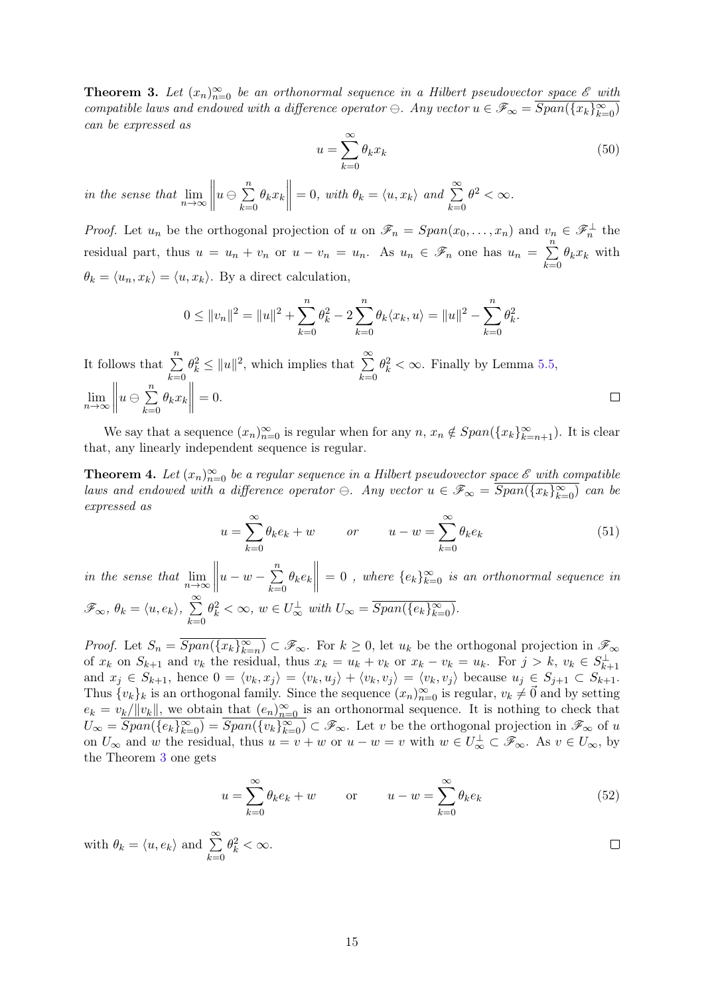<span id="page-14-0"></span>**Theorem 3.** Let  $(x_n)_{n=0}^{\infty}$  be an orthonormal sequence in a Hilbert pseudovector space  $\mathscr E$  with compatible laws and endowed with a difference operator  $\ominus$ . Any vector  $u \in \mathscr{F}_{\infty} = \overline{Span(\{x_k\}_{k=0}^{\infty})}$ can be expressed as

$$
u = \sum_{k=0}^{\infty} \theta_k x_k \tag{50}
$$

in the sense that  $\lim_{n\to\infty}$  $u \ominus \sum^{n}$  $k=0$  $\theta_k x_k$  $= 0$ , with  $\theta_k = \langle u, x_k \rangle$  and  $\sum^{\infty}$  $k=0$  $\theta^2 < \infty$ .

*Proof.* Let  $u_n$  be the orthogonal projection of u on  $\mathscr{F}_n = Span(x_0, \ldots, x_n)$  and  $v_n \in \mathscr{F}_n^{\perp}$  the residual part, thus  $u = u_n + v_n$  or  $u - v_n = u_n$ . As  $u_n \in \mathscr{F}_n$  one has  $u_n = \sum_{n=1}^{\infty}$  $k=0$  $\theta_k x_k$  with  $\theta_k = \langle u_n, x_k \rangle = \langle u, x_k \rangle$ . By a direct calculation,

$$
0 \le ||v_n||^2 = ||u||^2 + \sum_{k=0}^n \theta_k^2 - 2 \sum_{k=0}^n \theta_k \langle x_k, u \rangle = ||u||^2 - \sum_{k=0}^n \theta_k^2.
$$

It follows that  $\sum_{n=1}^{\infty}$  $\theta_k^2 \le ||u||^2$ , which implies that  $\sum_{n=1}^{\infty}$  $\theta_k^2 < \infty$ . Finally by Lemma [5.5,](#page-13-1)  $k=0$  $k=0$  $\lim_{n\to\infty}\Big\|$  $u \ominus \sum^{n}$  $\theta_k x_k$  $= 0.$  $\Box$  $k=0$ 

We say that a sequence  $(x_n)_{n=0}^{\infty}$  is regular when for any  $n, x_n \notin Span(\{x_k\}_{k=n+1}^{\infty})$ . It is clear that, any linearly independent sequence is regular.

<span id="page-14-1"></span>**Theorem 4.** Let  $(x_n)_{n=0}^{\infty}$  be a regular sequence in a Hilbert pseudovector space  $\mathscr E$  with compatible laws and endowed with a difference operator  $\ominus$ . Any vector  $u \in \mathscr{F}_{\infty} = \overline{Span(\{x_k\}_{k=0}^{\infty})}$  can be expressed as

$$
u = \sum_{k=0}^{\infty} \theta_k e_k + w \qquad or \qquad u - w = \sum_{k=0}^{\infty} \theta_k e_k \tag{51}
$$

in the sense that  $\lim_{n\to\infty}$  $u - w - \sum_{n=1}^{n}$  $k=0$  $\theta_k e_k$  $= 0$ , where  ${e_k}_{k=0}^{\infty}$  is an orthonormal sequence in  $\mathscr{F}_{\infty}, \theta_k = \langle u, e_k \rangle, \sum_{k=1}^{\infty}$  $k=0$  $\theta_k^2 < \infty$ ,  $w \in U_{\infty}^{\perp}$  with  $U_{\infty} = \overline{Span(\{e_k\}_{k=0}^{\infty})}$ .

*Proof.* Let  $S_n = \overline{Span(\{x_k\}_{k=n}^{\infty})} \subset \mathscr{F}_{\infty}$ . For  $k \geq 0$ , let  $u_k$  be the orthogonal projection in  $\mathscr{F}_{\infty}$ of  $x_k$  on  $S_{k+1}$  and  $v_k$  the residual, thus  $x_k = u_k + v_k$  or  $x_k - v_k = u_k$ . For  $j > k$ ,  $v_k \in S_{k+1}^{\perp}$ and  $x_j \in S_{k+1}$ , hence  $0 = \langle v_k, x_j \rangle = \langle v_k, u_j \rangle + \langle v_k, v_j \rangle = \langle v_k, v_j \rangle$  because  $u_j \in S_{j+1} \subset S_{k+1}$ . Thus  $\{v_k\}_k$  is an orthogonal family. Since the sequence  $(x_n)_{n=0}^{\infty}$  is regular,  $v_k \neq \vec{0}$  and by setting  $e_k = v_k/||v_k||$ , we obtain that  $(e_n)_{n=0}^{\infty}$  is an orthonormal sequence. It is nothing to check that  $U_{\infty} = \overline{Span(\{e_k\}_{k=0}^{\infty})} = \overline{Span(\{v_k\}_{k=0}^{\infty})} \subset \mathscr{F}_{\infty}$ . Let v be the orthogonal projection in  $\mathscr{F}_{\infty}$  of u on  $U_{\infty}$  and w the residual, thus  $u = v + w$  or  $u - w = v$  with  $w \in U_{\infty}^{\perp} \subset \mathscr{F}_{\infty}$ . As  $v \in U_{\infty}$ , by the Theorem [3](#page-14-0) one gets

$$
u = \sum_{k=0}^{\infty} \theta_k e_k + w \qquad \text{or} \qquad u - w = \sum_{k=0}^{\infty} \theta_k e_k \tag{52}
$$

with 
$$
\theta_k = \langle u, e_k \rangle
$$
 and  $\sum_{k=0}^{\infty} \theta_k^2 < \infty$ .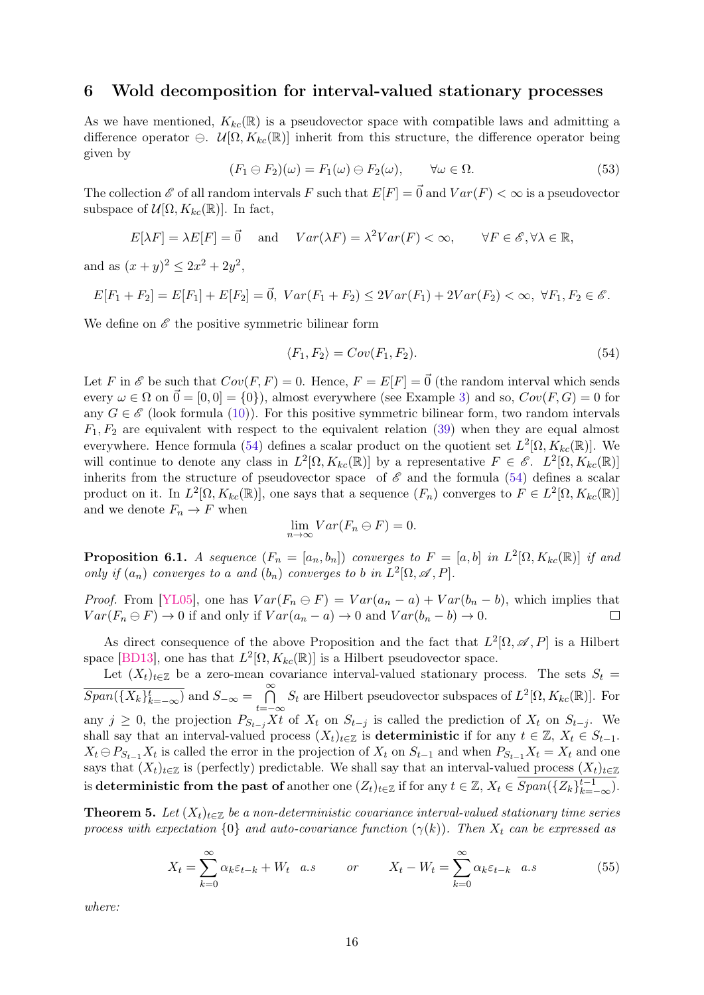# 6 Wold decomposition for interval-valued stationary processes

As we have mentioned,  $K_{kc}(\mathbb{R})$  is a pseudovector space with compatible laws and admitting a difference operator  $\Theta$ .  $\mathcal{U}[\Omega, K_{kc}(\mathbb{R})]$  inherit from this structure, the difference operator being given by

$$
(F_1 \ominus F_2)(\omega) = F_1(\omega) \ominus F_2(\omega), \qquad \forall \omega \in \Omega.
$$
\n
$$
(53)
$$

The collection  $\mathscr E$  of all random intervals F such that  $E[F] = \vec{0}$  and  $Var(F) < \infty$  is a pseudovector subspace of  $\mathcal{U}[\Omega, K_{kc}(\mathbb{R})]$ . In fact,

$$
E[\lambda F] = \lambda E[F] = \vec{0} \quad \text{and} \quad Var(\lambda F) = \lambda^2 Var(F) < \infty, \qquad \forall F \in \mathscr{E}, \forall \lambda \in \mathbb{R},
$$

and as  $(x+y)^2 \leq 2x^2 + 2y^2$ ,

$$
E[F_1 + F_2] = E[F_1] + E[F_2] = \vec{0}, \ Var(F_1 + F_2) \le 2Var(F_1) + 2Var(F_2) < \infty, \ \forall F_1, F_2 \in \mathscr{E}.
$$

We define on  $\mathscr E$  the positive symmetric bilinear form

<span id="page-15-0"></span>
$$
\langle F_1, F_2 \rangle = Cov(F_1, F_2). \tag{54}
$$

Let F in  $\mathscr E$  be such that  $Cov(F, F) = 0$ . Hence,  $F = E[F] = \vec{0}$  (the random interval which sends every  $\omega \in \Omega$  on  $\vec{0} = [0, 0] = \{0\}$ , almost everywhere (see Example [3\)](#page-3-2) and so,  $Cov(F, G) = 0$  for any  $G \in \mathscr{E}$  (look formula [\(10\)](#page-3-3)). For this positive symmetric bilinear form, two random intervals  $F_1, F_2$  are equivalent with respect to the equivalent relation [\(39\)](#page-11-2) when they are equal almost everywhere. Hence formula [\(54\)](#page-15-0) defines a scalar product on the quotient set  $L^2[\Omega, K_{kc}(\mathbb{R})]$ . We will continue to denote any class in  $L^2[\Omega, K_{kc}(\mathbb{R})]$  by a representative  $F \in \mathscr{E}$ .  $L^2[\Omega, K_{kc}(\mathbb{R})]$ inherits from the structure of pseudovector space of  $\mathscr E$  and the formula [\(54\)](#page-15-0) defines a scalar product on it. In  $L^2[\Omega, K_{kc}(\mathbb{R})]$ , one says that a sequence  $(F_n)$  converges to  $F \in L^2[\Omega, K_{kc}(\mathbb{R})]$ and we denote  $F_n \to F$  when

<span id="page-15-1"></span>
$$
\lim_{n \to \infty} Var(F_n \ominus F) = 0.
$$

**Proposition 6.1.** A sequence  $(F_n = [a_n, b_n])$  converges to  $F = [a, b]$  in  $L^2[\Omega, K_{kc}(\mathbb{R})]$  if and only if  $(a_n)$  converges to a and  $(b_n)$  converges to b in  $L^2[\Omega, \mathscr{A}, P]$ .

*Proof.* From [\[YL05\]](#page-18-5), one has  $Var(F_n \oplus F) = Var(a_n - a) + Var(b_n - b)$ , which implies that  $Var(F_n \ominus F) \rightarrow 0$  if and only if  $Var(a_n - a) \rightarrow 0$  and  $Var(b_n - b) \rightarrow 0$ .

As direct consequence of the above Proposition and the fact that  $L^2[\Omega, \mathscr{A}, P]$  is a Hilbert space [\[BD13\]](#page-18-12), one has that  $L^2[\Omega, K_{kc}(\mathbb{R})]$  is a Hilbert pseudovector space.

Let  $(X_t)_{t\in\mathbb{Z}}$  be a zero-mean covariance interval-valued stationary process. The sets  $S_t$  =  $\overline{Span(\{X_k\}_{k=-\infty}^t)}$  and  $S_{-\infty} = \bigcap_{k=0}^{\infty}$  $\bigcap_{t=-\infty}^{\infty} S_t$  are Hilbert pseudovector subspaces of  $L^2[\Omega, K_{kc}(\mathbb{R})]$ . For any  $j \geq 0$ , the projection  $P_{S_{t-j}}Xt$  of  $X_t$  on  $S_{t-j}$  is called the prediction of  $X_t$  on  $S_{t-j}$ . We shall say that an interval-valued process  $(X_t)_{t\in\mathbb{Z}}$  is deterministic if for any  $t \in \mathbb{Z}$ ,  $X_t \in S_{t-1}$ .  $X_t \ominus P_{S_{t-1}} X_t$  is called the error in the projection of  $X_t$  on  $S_{t-1}$  and when  $P_{S_{t-1}} X_t = X_t$  and one says that  $(X_t)_{t\in\mathbb{Z}}$  is (perfectly) predictable. We shall say that an interval-valued process  $(X_t)_{t\in\mathbb{Z}}$ is deterministic from the past of another one  $(Z_t)_{t \in \mathbb{Z}}$  if for any  $t \in \mathbb{Z}$ ,  $X_t \in \overline{Span(\{Z_k\}_{k=-\infty}^{t-1})}$ .

**Theorem 5.** Let  $(X_t)_{t\in\mathbb{Z}}$  be a non-deterministic covariance interval-valued stationary time series process with expectation  $\{0\}$  and auto-covariance function  $(\gamma(k))$ . Then  $X_t$  can be expressed as

$$
X_t = \sum_{k=0}^{\infty} \alpha_k \varepsilon_{t-k} + W_t \quad a.s \qquad or \qquad X_t - W_t = \sum_{k=0}^{\infty} \alpha_k \varepsilon_{t-k} \quad a.s \tag{55}
$$

where: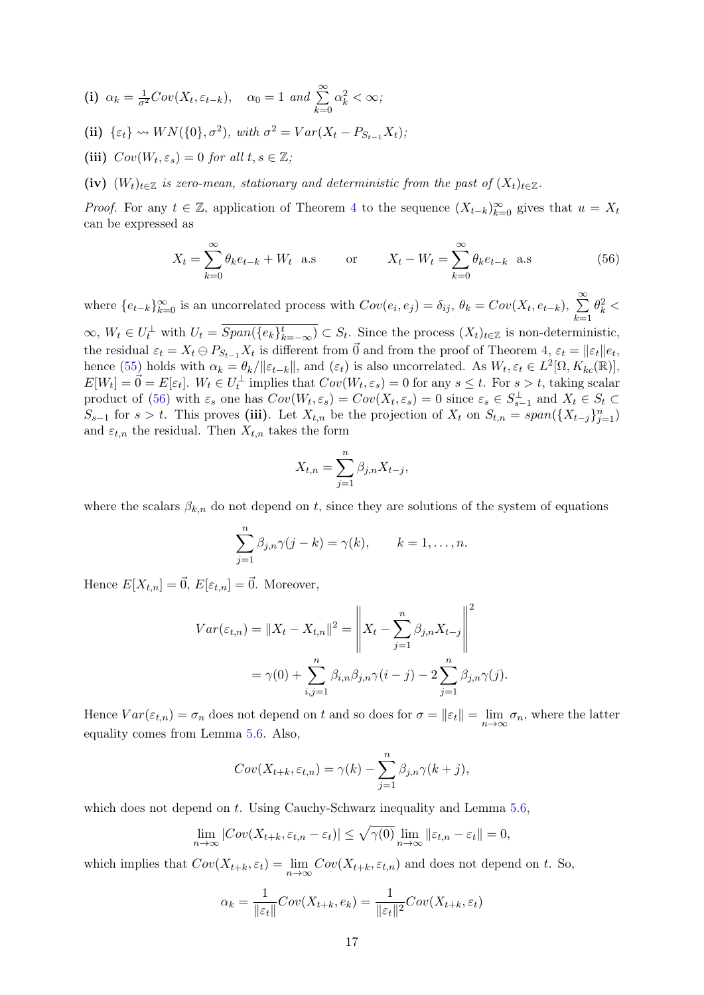(i) 
$$
\alpha_k = \frac{1}{\sigma^2}Cov(X_t, \varepsilon_{t-k}), \quad \alpha_0 = 1 \text{ and } \sum_{k=0}^{\infty} \alpha_k^2 < \infty;
$$

(ii) 
$$
\{\varepsilon_t\} \rightsquigarrow WN(\{0\}, \sigma^2)
$$
, with  $\sigma^2 = Var(X_t - P_{S_{t-1}}X_t)$ ;

(iii)  $Cov(W_t, \varepsilon_s) = 0$  for all  $t, s \in \mathbb{Z}$ ;

(iv)  $(W_t)_{t\in\mathbb{Z}}$  is zero-mean, stationary and deterministic from the past of  $(X_t)_{t\in\mathbb{Z}}$ .

*Proof.* For any  $t \in \mathbb{Z}$ , application of Theorem [4](#page-14-1) to the sequence  $(X_{t-k})_{k=0}^{\infty}$  gives that  $u = X_t$ can be expressed as

<span id="page-16-0"></span>
$$
X_t = \sum_{k=0}^{\infty} \theta_k e_{t-k} + W_t
$$
 a.s or  $X_t - W_t = \sum_{k=0}^{\infty} \theta_k e_{t-k}$  a.s (56)

where  $\{e_{t-k}\}_{k=0}^{\infty}$  is an uncorrelated process with  $Cov(e_i, e_j) = \delta_{ij}, \theta_k = Cov(X_t, e_{t-k}), \sum_{k=0}^{\infty} \theta_k^2 <$  $k=1$ 

 $\infty, W_t \in U_t^{\perp}$  with  $U_t = \overline{Span(\{e_k\}_{k=-\infty}^t)} \subset S_t$ . Since the process  $(X_t)_{t \in \mathbb{Z}}$  is non-deterministic, the residual  $\varepsilon_t = X_t \ominus P_{S_{t-1}} X_t$  is different from  $\vec{0}$  and from the proof of Theorem [4,](#page-14-1)  $\varepsilon_t = ||\varepsilon_t||e_t$ , hence [\(55\)](#page-15-1) holds with  $\alpha_k = \theta_k / ||\varepsilon_{t-k}||$ , and  $(\varepsilon_t)$  is also uncorrelated. As  $W_t, \varepsilon_t \in L^2[\Omega, K_{kc}(\mathbb{R})],$  $E[W_t] = \vec{0} = E[\varepsilon_t]$ .  $W_t \in U_t^{\perp}$  implies that  $Cov(W_t, \varepsilon_s) = 0$  for any  $s \leq t$ . For  $s > t$ , taking scalar product of [\(56\)](#page-16-0) with  $\varepsilon_s$  one has  $Cov(W_t, \varepsilon_s) = Cov(X_t, \varepsilon_s) = 0$  since  $\varepsilon_s \in S_{s-1}^{\perp}$  and  $X_t \in S_t \subset$  $S_{s-1}$  for  $s > t$ . This proves (iii). Let  $X_{t,n}$  be the projection of  $X_t$  on  $S_{t,n} = span({X_{t-j}}_{j=1}^n)$ and  $\varepsilon_{t,n}$  the residual. Then  $X_{t,n}$  takes the form

$$
X_{t,n} = \sum_{j=1}^{n} \beta_{j,n} X_{t-j},
$$

where the scalars  $\beta_{k,n}$  do not depend on t, since they are solutions of the system of equations

$$
\sum_{j=1}^n \beta_{j,n} \gamma(j-k) = \gamma(k), \qquad k = 1, \ldots, n.
$$

Hence  $E[X_{t,n}] = \vec{0}, E[\varepsilon_{t,n}] = \vec{0}$ . Moreover,

$$
Var(\varepsilon_{t,n}) = \|X_t - X_{t,n}\|^2 = \left\|X_t - \sum_{j=1}^n \beta_{j,n} X_{t-j}\right\|^2
$$
  
=  $\gamma(0) + \sum_{i,j=1}^n \beta_{i,n} \beta_{j,n} \gamma(i-j) - 2 \sum_{j=1}^n \beta_{j,n} \gamma(j).$ 

Hence  $Var(\varepsilon_{t,n}) = \sigma_n$  does not depend on t and so does for  $\sigma = ||\varepsilon_t|| = \lim_{n \to \infty} \sigma_n$ , where the latter equality comes from Lemma [5.6.](#page-13-2) Also,

$$
Cov(X_{t+k}, \varepsilon_{t,n}) = \gamma(k) - \sum_{j=1}^{n} \beta_{j,n} \gamma(k+j),
$$

which does not depend on t. Using Cauchy-Schwarz inequality and Lemma [5.6,](#page-13-2)

$$
\lim_{n \to \infty} |Cov(X_{t+k}, \varepsilon_{t,n} - \varepsilon_t)| \le \sqrt{\gamma(0)} \lim_{n \to \infty} ||\varepsilon_{t,n} - \varepsilon_t|| = 0,
$$

which implies that  $Cov(X_{t+k}, \varepsilon_t) = \lim_{n \to \infty} Cov(X_{t+k}, \varepsilon_{t,n})$  and does not depend on t. So,

$$
\alpha_k = \frac{1}{\|\varepsilon_t\|} Cov(X_{t+k}, e_k) = \frac{1}{\|\varepsilon_t\|^2} Cov(X_{t+k}, \varepsilon_t)
$$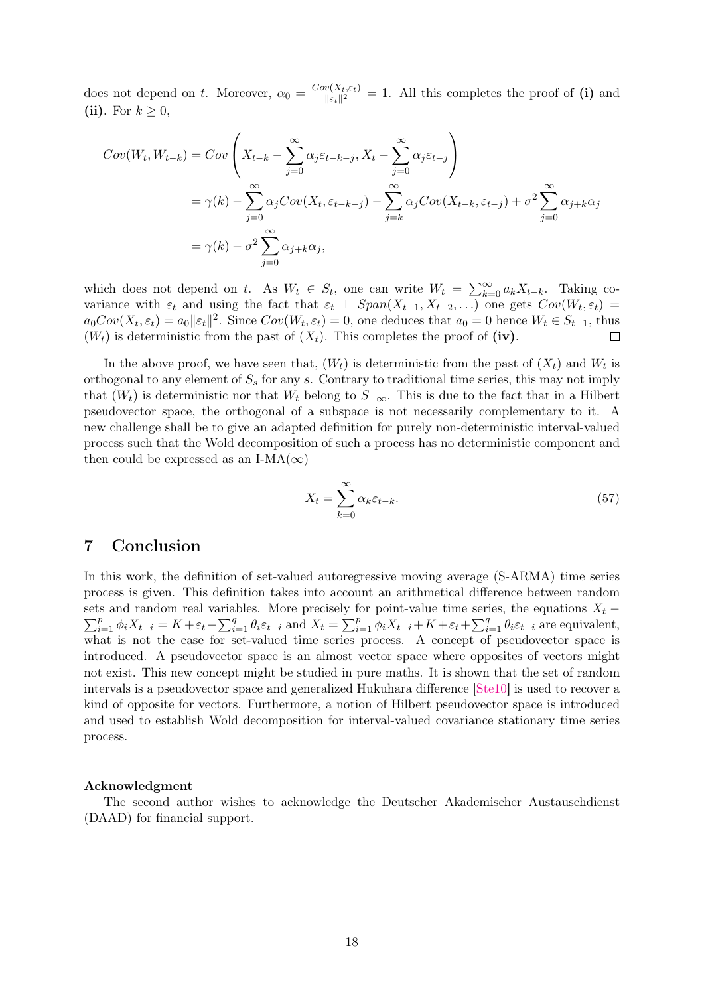does not depend on t. Moreover,  $\alpha_0 = \frac{Cov(X_t, \varepsilon_t)}{\|\varepsilon_t\|^2}$  $\frac{\partial (X_t, \varepsilon_t)}{\|\varepsilon_t\|^2} = 1$ . All this completes the proof of (i) and (ii). For  $k \geq 0$ ,

$$
Cov(W_t, W_{t-k}) = Cov\left(X_{t-k} - \sum_{j=0}^{\infty} \alpha_j \varepsilon_{t-k-j}, X_t - \sum_{j=0}^{\infty} \alpha_j \varepsilon_{t-j}\right)
$$
  
=  $\gamma(k) - \sum_{j=0}^{\infty} \alpha_j Cov(X_t, \varepsilon_{t-k-j}) - \sum_{j=k}^{\infty} \alpha_j Cov(X_{t-k}, \varepsilon_{t-j}) + \sigma^2 \sum_{j=0}^{\infty} \alpha_{j+k} \alpha_j$   
=  $\gamma(k) - \sigma^2 \sum_{j=0}^{\infty} \alpha_{j+k} \alpha_j$ ,

which does not depend on t. As  $W_t \in S_t$ , one can write  $W_t = \sum_{k=0}^{\infty} a_k X_{t-k}$ . Taking covariance with  $\varepsilon_t$  and using the fact that  $\varepsilon_t \perp Span(X_{t-1}, X_{t-2}, \ldots)$  one gets  $Cov(W_t, \varepsilon_t)$  $a_0Cov(X_t, \varepsilon_t) = a_0 ||\varepsilon_t||^2$ . Since  $Cov(W_t, \varepsilon_t) = 0$ , one deduces that  $a_0 = 0$  hence  $W_t \in S_{t-1}$ , thus  $(W_t)$  is deterministic from the past of  $(X_t)$ . This completes the proof of (iv).  $\Box$ 

In the above proof, we have seen that,  $(W_t)$  is deterministic from the past of  $(X_t)$  and  $W_t$  is orthogonal to any element of  $S<sub>s</sub>$  for any s. Contrary to traditional time series, this may not imply that  $(W_t)$  is deterministic nor that  $W_t$  belong to  $S_{-\infty}$ . This is due to the fact that in a Hilbert pseudovector space, the orthogonal of a subspace is not necessarily complementary to it. A new challenge shall be to give an adapted definition for purely non-deterministic interval-valued process such that the Wold decomposition of such a process has no deterministic component and then could be expressed as an I-MA( $\infty$ )

$$
X_t = \sum_{k=0}^{\infty} \alpha_k \varepsilon_{t-k}.
$$
\n(57)

# 7 Conclusion

In this work, the definition of set-valued autoregressive moving average (S-ARMA) time series process is given. This definition takes into account an arithmetical difference between random sets and random real variables. More precisely for point-value time series, the equations  $X_t$  –  $\sum_{i=1}^p \phi_i X_{t-i} = K + \varepsilon_t + \sum_{i=1}^q \theta_i \varepsilon_{t-i}$  and  $X_t = \sum_{i=1}^p \phi_i X_{t-i} + K + \varepsilon_t + \sum_{i=1}^q \theta_i \varepsilon_{t-i}$  are equivalent, what is not the case for set-valued time series process. A concept of pseudovector space is introduced. A pseudovector space is an almost vector space where opposites of vectors might not exist. This new concept might be studied in pure maths. It is shown that the set of random intervals is a pseudovector space and generalized Hukuhara difference [\[Ste10\]](#page-18-8) is used to recover a kind of opposite for vectors. Furthermore, a notion of Hilbert pseudovector space is introduced and used to establish Wold decomposition for interval-valued covariance stationary time series process.

## Acknowledgment

The second author wishes to acknowledge the Deutscher Akademischer Austauschdienst (DAAD) for financial support.